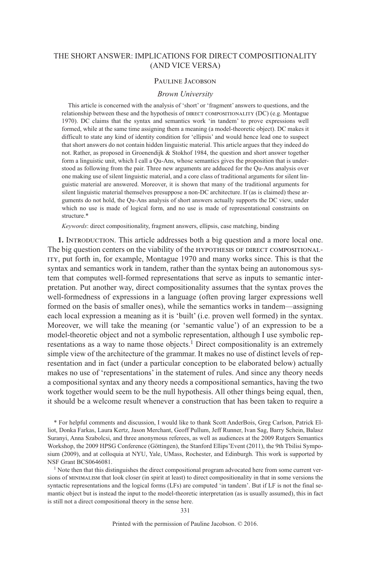# THE SHORT ANSWER: IMPLICATIONS FOR DIRECT COMPOSITIONALITY (AND VICE VERSA)

#### PAULINE JACOBSON

#### *Brown University*

This article is concerned with the analysis of 'short' or 'fragment' answers to questions, and the relationship between these and the hypothesis of DIRECT COMPOSITIONALITY (DC) (e.g. Montague 1970). DC claims that the syntax and semantics work 'in tandem' to prove expressions well formed, while at the same time assigning them a meaning (a model-theoretic object). DC makes it difficult to state any kind of identity condition for 'ellipsis' and would hence lead one to suspect that short answers do not contain hidden linguistic material. This article argues that they indeed do not. Rather, as proposed in Groenendijk & Stokhof 1984, the question and short answer together form a linguistic unit, which I call a Qu-Ans, whose semantics gives the proposition that is understood as following from the pair. Three new arguments are adduced for the Qu-Ans analysis over one making use of silent linguistic material, and a core class of traditional arguments for silent linguistic material are answered. Moreover, it is shown that many of the traditional arguments for silent linguistic material themselves presuppose a non-DC architecture. If (as is claimed) these arguments do not hold, the Qu-Ans analysis of short answers actually supports the DC view, under which no use is made of logical form, and no use is made of representational constraints on structure.\*

*Keywords*: direct compositionality, fragment answers, ellipsis, case matching, binding

**1.** INTRODUCTION. This article addresses both a big question and a more local one. The big question centers on the viability of the HYPOTHESIS OF DIRECT COMPOSITIONALity, put forth in, for example, Montague 1970 and many works since. This is that the syntax and semantics work in tandem, rather than the syntax being an autonomous system that computes well-formed representations that serve as inputs to semantic interpretation. Put another way, direct compositionality assumes that the syntax proves the well-formedness of expressions in a language (often proving larger expressions well formed on the basis of smaller ones), while the semantics works in tandem—assigning each local expression a meaning as it is 'built' (i.e. proven well formed) in the syntax. Moreover, we will take the meaning (or 'semantic value') of an expression to be a model-theoretic object and not a symbolic representation, although I use symbolic representations as a way to name those objects. <sup>1</sup> Direct compositionality is an extremely simple view of the architecture of the grammar. It makes no use of distinct levels of representation and in fact (under a particular conception to be elaborated below) actually makes no use of 'representations' in the statement of rules. And since any theory needs a compositional syntax and any theory needs a compositional semantics, having the two work together would seem to be the null hypothesis. All other things being equal, then, it should be a welcome result whenever a construction that has been taken to require a

\* For helpful comments and discussion, I would like to thank Scott AnderBois, Greg Carlson, Patrick Elliot, Donka Farkas, Laura Kertz, Jason Merchant, Geoff Pullum, Jeff Runner, Ivan Sag, Barry Schein, Balasz Suranyi, Anna Szabolcsi, and three anonymous referees, as well as audiences at the 2009 Rutgers Semantics Workshop, the 2009 HPSG Conference (Göttingen), the Stanford Ellips'Event (2011), the 9th Tbilisi Symposium (2009), and at colloquia at NYU, Yale, UMass, Rochester, and Edinburgh. This work is supported by NSF Grant BCS0646081.

<sup>1</sup> Note then that this distinguishes the direct compositional program advocated here from some current versions of minimalism that look closer (in spirit at least) to direct compositionality in that in some versions the syntactic representations and the logical forms (LFs) are computed 'in tandem'. But if LF is not the final semantic object but is instead the input to the model-theoretic interpretation (as is usually assumed), this in fact is still not a direct compositional theory in the sense here.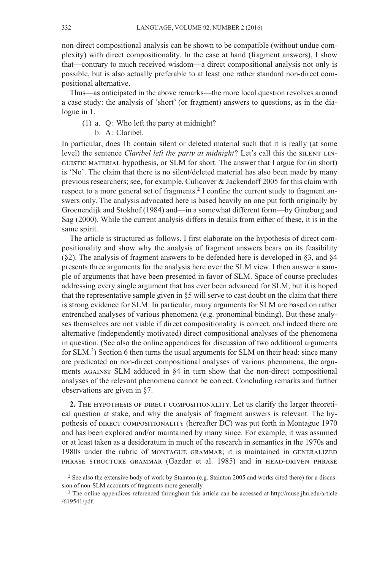non-direct compositional analysis can be shown to be compatible (without undue complexity) with direct compositionality. In the case at hand (fragment answers), I show that—contrary to much received wisdom—a direct compositional analysis not only is possible, but is also actually preferable to at least one rather standard non-direct compositional alternative.

Thus—as anticipated in the above remarks—the more local question revolves around a case study: the analysis of 'short' (or fragment) answers to questions, as in the dialogue in 1.

- (1) a. Q: Who left the party at midnight?
	- b. A: Claribel.

In particular, does 1b contain silent or deleted material such that it is really (at some level) the sentence *Claribel left the party at midnight*? Let's call this the SILENT LINguistic material hypothesis, or SLM for short. The answer that I argue for (in short) is 'No'. The claim that there is no silent/deleted material has also been made by many previous researchers; see, for example, Culicover & Jackendoff 2005 for this claim with respect to a more general set of fragments. <sup>2</sup> I confine the current study to fragment answers only. The analysis advocated here is based heavily on one put forth originally by Groenendijk and Stokhof (1984) and—in a somewhat different form—by Ginzburg and Sag (2000). While the current analysis differs in details from either of these, it is in the same spirit.

The article is structured as follows. I first elaborate on the hypothesis of direct compositionality and show why the analysis of fragment answers bears on its feasibility (§2). The analysis of fragment answers to be defended here is developed in §3, and §4 presents three arguments for the analysis here over the SLM view. I then answer a sample of arguments that have been presented in favor of SLM. Space of course precludes addressing every single argument that has ever been advanced for SLM, but it is hoped that the representative sample given in §5 will serve to cast doubt on the claim that there is strong evidence for SLM. In particular, many arguments for SLM are based on rather entrenched analyses of various phenomena (e.g. pronominal binding). But these analyses themselves are not viable if direct compositionality is correct, and indeed there are alternative (independently motivated) direct compositional analyses of the phenomena in question. (See also the online appendices for discussion of two additional arguments for SLM.<sup>3</sup>) Section 6 then turns the usual arguments for SLM on their head: since many are predicated on non-direct compositional analyses of various phenomena, the arguments AGAINST SLM adduced in §4 in turn show that the non-direct compositional analyses of the relevant phenomena cannot be correct. Concluding remarks and further observations are given in §7.

**2.** The hypothesis of direct compositionality. Let us clarify the larger theoretical question at stake, and why the analysis of fragment answers is relevant. The hypothesis of DIRECT COMPOSITIONALITY (hereafter DC) was put forth in Montague 1970 and has been explored and/or maintained by many since. For example, it was assumed or at least taken as a desideratum in much of the research in semantics in the 1970s and 1980s under the rubric of montague grammar; it is maintained in generalized phrase structure grammar (Gazdar et al. 1985) and in head-driven phrase

<sup>2</sup> See also the extensive body of work by Stainton (e.g. Stainton 2005 and works cited there) for a discussion of non-SLM accounts of fragments more generally.

<sup>3</sup> The online appendices referenced throughout this article can be accessed at [http://muse.jhu.edu/article](http://muse.jhu.edu/article/619541/pdf) [/619541/pdf.](http://muse.jhu.edu/article/619541/pdf)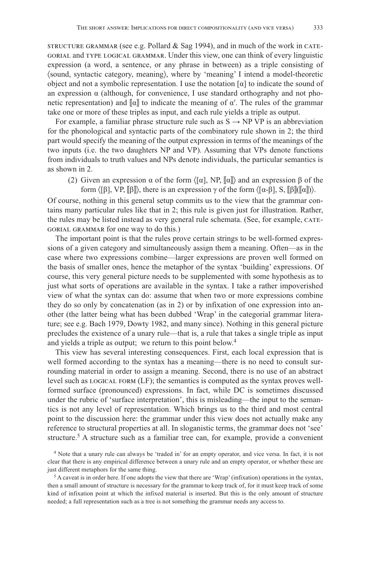STRUCTURE GRAMMAR (see e.g. Pollard  $&$  Sag 1994), and in much of the work in CATEgorial and type logical grammar. Under this view, one can think of every linguistic expression (a word, a sentence, or any phrase in between) as a triple consisting of 〈sound, syntactic category, meaning〉, where by 'meaning' I intend a model-theoretic object and not a symbolic representation. I use the notation  $\lceil \alpha \rceil$  to indicate the sound of an expression  $\alpha$  (although, for convenience, I use standard orthography and not phonetic representation) and  $\llbracket \alpha \rrbracket$  to indicate the meaning of  $\alpha'$ . The rules of the grammar take one or more of these triples as input, and each rule yields a triple as output.

For example, a familiar phrase structure rule such as  $S \rightarrow NP VP$  is an abbreviation for the phonological and syntactic parts of the combinatory rule shown in 2; the third part would specify the meaning of the output expression in terms of the meanings of the two inputs (i.e. the two daughters NP and VP). Assuming that VPs denote functions from individuals to truth values and NPs denote individuals, the particular semantics is as shown in 2.

(2) Given an expression  $\alpha$  of the form  $\langle \lbrack \alpha \rbrack$ , NP,  $\lbrack \lbrack \alpha \rbrack \rbrack$  and an expression  $\beta$  of the form  $\langle [\beta], \text{VP}, [\beta] \rangle$ , there is an expression γ of the form  $\langle [\alpha-\beta], S, [\beta] \rangle$ 

Of course, nothing in this general setup commits us to the view that the grammar contains many particular rules like that in 2; this rule is given just for illustration. Rather, the rules may be listed instead as very general rule schemata. (See, for example, categorial grammar for one way to do this.)

The important point is that the rules prove certain strings to be well-formed expressions of a given category and simultaneously assign them a meaning. Often—as in the case where two expressions combine—larger expressions are proven well formed on the basis of smaller ones, hence the metaphor of the syntax 'building' expressions. Of course, this very general picture needs to be supplemented with some hypothesis as to just what sorts of operations are available in the syntax. I take a rather impoverished view of what the syntax can do: assume that when two or more expressions combine they do so only by concatenation (as in 2) or by infixation of one expression into another (the latter being what has been dubbed 'Wrap' in the categorial grammar literature; see e.g. Bach 1979, Dowty 1982, and many since). Nothing in this general picture precludes the existence of a unary rule—that is, a rule that takes a single triple as input and yields a triple as output; we return to this point below. 4

This view has several interesting consequences. First, each local expression that is well formed according to the syntax has a meaning—there is no need to consult surrounding material in order to assign a meaning. Second, there is no use of an abstract level such as logical form (LF); the semantics is computed as the syntax proves wellformed surface (pronounced) expressions. In fact, while DC is sometimes discussed under the rubric of 'surface interpretation', this is misleading—the input to the semantics is not any level of representation. Which brings us to the third and most central point to the discussion here: the grammar under this view does not actually make any reference to structural properties at all. In sloganistic terms, the grammar does not 'see' structure. <sup>5</sup> A structure such as a familiar tree can, for example, provide a convenient

<sup>4</sup> Note that a unary rule can always be 'traded in' for an empty operator, and vice versa. In fact, it is not clear that there is any empirical difference between a unary rule and an empty operator, or whether these are just different metaphors for the same thing.

<sup>5</sup> A caveat is in order here. If one adopts the view that there are 'Wrap'(infixation) operations in the syntax, then a small amount of structure is necessary for the grammar to keep track of, for it must keep track of some kind of infixation point at which the infixed material is inserted. But this is the only amount of structure needed; a full representation such as a tree is not something the grammar needs any access to.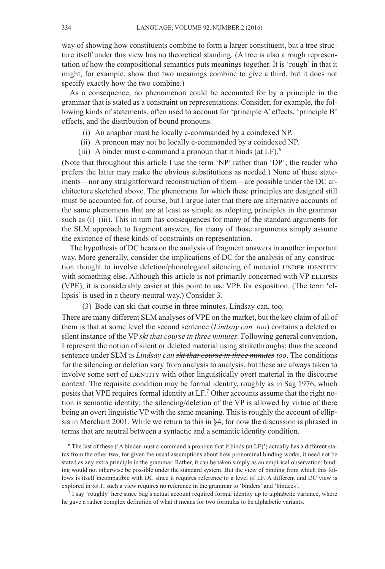way of showing how constituents combine to form a larger constituent, but a tree structure itself under this view has no theoretical standing. (A tree is also a rough representation of how the compositional semantics puts meanings together. It is 'rough'in that it might, for example, show that two meanings combine to give a third, but it does not specify exactly how the two combine.)

As a consequence, no phenomenon could be accounted for by a principle in the grammar that is stated as a constraint on representations. Consider, for example, the following kinds of statements, often used to account for 'principle A' effects, 'principle B' effects, and the distribution of bound pronouns.

- (i) An anaphor must be locally c-commanded by a coindexed NP.
- i(ii) A pronoun may not be locally c-commanded by a coindexed NP.
- (iii) A binder must c-command a pronoun that it binds (at  $LF$ ).<sup>6</sup>

(Note that throughout this article I use the term 'NP' rather than 'DP'; the reader who prefers the latter may make the obvious substitutions as needed.) None of these statements—nor any straightforward reconstruction of them—are possible under the DC architecture sketched above. The phenomena for which these principles are designed still must be accounted for, of course, but I argue later that there are alternative accounts of the same phenomena that are at least as simple as adopting principles in the grammar such as (i)–(iii). This in turn has consequences for many of the standard arguments for the SLM approach to fragment answers, for many of those arguments simply assume the existence of these kinds of constraints on representation.

The hypothesis of DC bears on the analysis of fragment answers in another important way. More generally, consider the implications of DC for the analysis of any construction thought to involve deletion/phonological silencing of material UNDER IDENTITY with something else. Although this article is not primarily concerned with VP ELLIPSIS (VPE), it is considerably easier at this point to use VPE for exposition. (The term 'ellipsis' is used in a theory-neutral way.) Consider 3.

(3) Bode can ski that course in three minutes. Lindsay can, too.

There are many different SLM analyses of VPE on the market, but the key claim of all of them is that at some level the second sentence (*Lindsay can, too*) contains a deleted or silent instance of the VP *ski that course in three minutes*. Following general convention, I represent the notion of silent or deleted material using strikethroughs; thus the second sentence under SLM is *Lindsay can ski that course in three minutes too*. The conditions for the silencing or deletion vary from analysis to analysis, but these are always taken to involve some sort of IDENTITY with other linguistically overt material in the discourse context. The requisite condition may be formal identity, roughly as in Sag 1976, which posits that VPE requires formal identity at LF.<sup>7</sup> Other accounts assume that the right notion is semantic identity: the silencing/deletion of the VP is allowed by virtue of there being an overt linguistic VP with the same meaning. This is roughly the account of ellipsis in Merchant 2001. While we return to this in §4, for now the discussion is phrased in terms that are neutral between a syntactic and a semantic identity condition.

<sup>6</sup> The last of these ('A binder must c-command a pronoun that it binds (at LF)') actually has a different status from the other two, for given the usual assumptions about how pronominal binding works, it need not be stated as any extra principle in the grammar. Rather, it can be taken simply as an empirical observation: binding would not otherwise be possible under the standard system. But the view of binding from which this follows is itself incompatible with DC since it requires reference to a level of LF. A different and DC view is explored in §5.1; such a view requires no reference in the grammar to 'binders' and 'bindees'.

<sup>7</sup> I say 'roughly' here since Sag's actual account required formal identity up to alphabetic variance, where he gave a rather complex definition of what it means for two formulas to be alphabetic variants.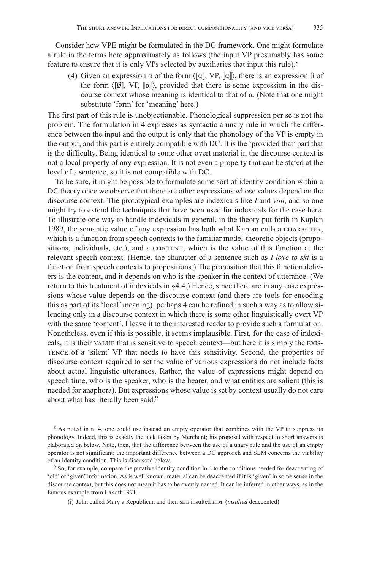Consider how VPE might be formulated in the DC framework. One might formulate a rule in the terms here approximately as follows (the input VP presumably has some feature to ensure that it is only VPs selected by auxiliaries that input this rule).<sup>8</sup>

(4) Given an expression  $\alpha$  of the form  $\langle [\alpha], VP, [\alpha] \rangle$ , there is an expression  $\beta$  of the form  $\langle [\emptyset], \nabla P, [\![\alpha]\!] \rangle$ , provided that there is some expression in the discourse context whose meaning is identical to that of α. (Note that one might substitute 'form' for 'meaning' here.)

The first part of this rule is unobjectionable. Phonological suppression per se is not the problem. The formulation in 4 expresses as syntactic a unary rule in which the difference between the input and the output is only that the phonology of the VP is empty in the output, and this part is entirely compatible with DC. It is the 'provided that' part that is the difficulty. Being identical to some other overt material in the discourse context is not a local property of any expression. It is not even a property that can be stated at the level of a sentence, so it is not compatible with DC.

To be sure, it might be possible to formulate some sort of identity condition within a DC theory once we observe that there are other expressions whose values depend on the discourse context. The prototypical examples are indexicals like *I* and *you*, and so one might try to extend the techniques that have been used for indexicals for the case here. To illustrate one way to handle indexicals in general, in the theory put forth in Kaplan 1989, the semantic value of any expression has both what Kaplan calls a character, which is a function from speech contexts to the familiar model-theoretic objects (propositions, individuals, etc.), and a CONTENT, which is the value of this function at the relevant speech context. (Hence, the character of a sentence such as *I love to ski* is a function from speech contexts to propositions.) The proposition that this function delivers is the content, and it depends on who is the speaker in the context of utterance. (We return to this treatment of indexicals in §4.4.) Hence, since there are in any case expressions whose value depends on the discourse context (and there are tools for encoding this as part of its 'local'meaning), perhaps 4 can be refined in such a way as to allow silencing only in a discourse context in which there is some other linguistically overt VP with the same 'content'. I leave it to the interested reader to provide such a formulation. Nonetheless, even if this is possible, it seems implausible. First, for the case of indexicals, it is their value that is sensitive to speech context—but here it is simply the existence of a 'silent' VP that needs to have this sensitivity. Second, the properties of discourse context required to set the value of various expressions do not include facts about actual linguistic utterances. Rather, the value of expressions might depend on speech time, who is the speaker, who is the hearer, and what entities are salient (this is needed for anaphora). But expressions whose value is set by context usually do not care about what has literally been said.<sup>9</sup>

<sup>8</sup> As noted in n. 4, one could use instead an empty operator that combines with the VP to suppress its phonology. Indeed, this is exactly the tack taken by Merchant; his proposal with respect to short answers is elaborated on below. Note, then, that the difference between the use of a unary rule and the use of an empty operator is not significant; the important difference between a DC approach and SLM concerns the viability of an identity condition. This is discussed below.

<sup>9</sup> So, for example, compare the putative identity condition in 4 to the conditions needed for deaccenting of 'old' or 'given' information. As is well known, material can be deaccented if it is 'given' in some sense in the discourse context, but this does not mean it has to be overtly named. It can be inferred in other ways, as in the famous example from Lakoff 1971.

ii(i) John called Mary a Republican and then she insulted him. (*insulted* deaccented)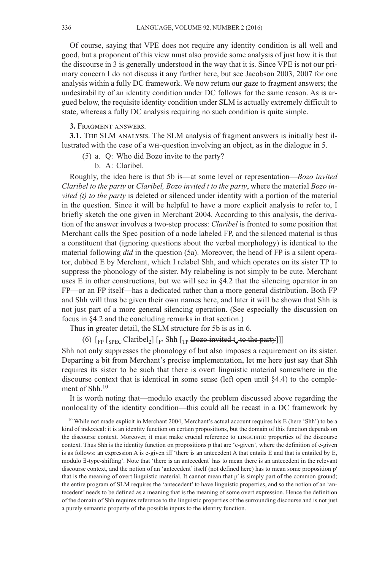Of course, saying that VPE does not require any identity condition is all well and good, but a proponent of this view must also provide some analysis of just how it is that the discourse in 3 is generally understood in the way that it is. Since VPE is not our primary concern I do not discuss it any further here, but see Jacobson 2003, 2007 for one analysis within a fully DC framework. We now return our gaze to fragment answers; the undesirability of an identity condition under DC follows for the same reason. As is argued below, the requisite identity condition under SLM is actually extremely difficult to state, whereas a fully DC analysis requiring no such condition is quite simple.

## **3.** Fragment answers.

**3.1.** The SLM analysis. The SLM analysis of fragment answers is initially best illustrated with the case of a wh-question involving an object, as in the dialogue in 5.

- (5) a. Q: Who did Bozo invite to the party?
	- b. A: Claribel.

Roughly, the idea here is that 5b is—at some level or representation—*Bozo invited Claribel to the party* or *Claribel, Bozo invited t to the party*, where the material *Bozo invited (t) to the party* is deleted or silenced under identity with a portion of the material in the question. Since it will be helpful to have a more explicit analysis to refer to, I briefly sketch the one given in Merchant 2004. According to this analysis, the derivation of the answer involves a two-step process: *Claribel* is fronted to some position that Merchant calls the Spec position of a node labeled FP, and the silenced material is thus a constituent that (ignoring questions about the verbal morphology) is identical to the material following *did* in the question (5a). Moreover, the head of FP is a silent operator, dubbed E by Merchant, which I relabel Shh, and which operates on its sister TP to suppress the phonology of the sister. My relabeling is not simply to be cute. Merchant uses E in other constructions, but we will see in §4.2 that the silencing operator in an FP—or an FP itself—has a dedicated rather than a more general distribution. Both FP and Shh will thus be given their own names here, and later it will be shown that Shh is not just part of a more general silencing operation. (See especially the discussion on focus in §4.2 and the concluding remarks in that section.)

Thus in greater detail, the SLM structure for 5b is as in 6.

(6)  $\lceil$ <sub>FP</sub>  $\lceil$ <sub>SPEC</sub> Claribel<sub>2</sub> $\lceil$ <sub>F'</sub> Shh  $\lceil$ <sub>TP</sub> Bozo invited t<sub>e</sub> to the party<sup></sup>]]

Shh not only suppresses the phonology of but also imposes a requirement on its sister. Departing a bit from Merchant's precise implementation, let me here just say that Shh requires its sister to be such that there is overt linguistic material somewhere in the discourse context that is identical in some sense (left open until §4.4) to the complement of Shh. 10

It is worth noting that—modulo exactly the problem discussed above regarding the nonlocality of the identity condition—this could all be recast in a DC framework by

<sup>10</sup> While not made explicit in Merchant 2004, Merchant's actual account requires his E (here 'Shh') to be a kind of indexical: it is an identity function on certain propositions, but the domain of this function depends on the discourse context. Moreover, it must make crucial reference to linguistic properties of the discourse context. Thus Shh is the identity function on propositions p that are 'e-given', where the definition of e-given is as follows: an expression A is e-given iff 'there is an antecedent A that entails E and that is entailed by E, modulo ∃-type-shifting'. Note that 'there is an antecedent' has to mean there is an antecedent in the relevant discourse context, and the notion of an 'antecedent' itself (not defined here) has to mean some proposition p′ that is the meaning of overt linguistic material. It cannot mean that p′ is simply part of the common ground; the entire program of SLM requires the 'antecedent'to have linguistic properties, and so the notion of an 'antecedent' needs to be defined as a meaning that is the meaning of some overt expression. Hence the definition of the domain of Shh requires reference to the linguistic properties of the surrounding discourse and is not just a purely semantic property of the possible inputs to the identity function.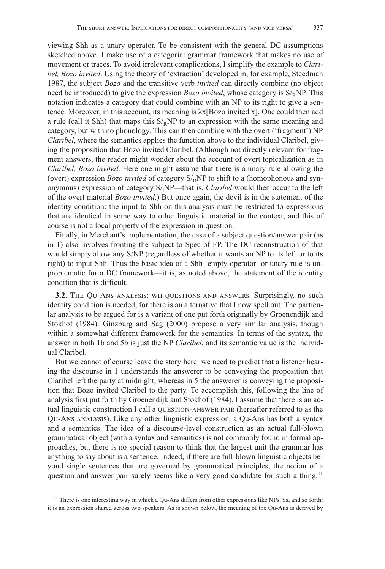viewing Shh as a unary operator. To be consistent with the general DC assumptions sketched above, I make use of a categorial grammar framework that makes no use of movement or traces. To avoid irrelevant complications, I simplify the example to *Claribel, Bozo invited*. Using the theory of 'extraction' developed in, for example, Steedman 1987, the subject *Bozo* and the transitive verb *invited* can directly combine (no object need be introduced) to give the expression *Bozo invited*, whose category is  $S/RNP$ . This notation indicates a category that could combine with an NP to its right to give a sentence. Moreover, in this account, its meaning is λx[Bozo invited x]. One could then add a rule (call it Shh) that maps this  $S/RNP$  to an expression with the same meaning and category, but with no phonology. This can then combine with the overt ('fragment') NP *Claribel*, where the semantics applies the function above to the individual Claribel, giving the proposition that Bozo invited Claribel. (Although not directly relevant for fragment answers, the reader might wonder about the account of overt topicalization as in *Claribel, Bozo invited*. Here one might assume that there is a unary rule allowing the (overt) expression *Bozo invited* of category  $S/RNP$  to shift to a (homophonous and synonymous) expression of category S/<sub>l</sub>NP—that is, *Claribel* would then occur to the left of the overt material *Bozo invited*.) But once again, the devil is in the statement of the identity condition: the input to Shh on this analysis must be restricted to expressions that are identical in some way to other linguistic material in the context, and this of course is not a local property of the expression in question.

Finally, in Merchant's implementation, the case of a subject question/answer pair (as in 1) also involves fronting the subject to Spec of FP. The DC reconstruction of that would simply allow any S/NP (regardless of whether it wants an NP to its left or to its right) to input Shh. Thus the basic idea of a Shh 'empty operator' or unary rule is unproblematic for a DC framework—it is, as noted above, the statement of the identity condition that is difficult.

**3.2.** The Qu-Ans analysis: wh-questions and answers. Surprisingly, no such identity condition is needed, for there is an alternative that I now spell out. The particular analysis to be argued for is a variant of one put forth originally by Groenendijk and Stokhof (1984). Ginzburg and Sag (2000) propose a very similar analysis, though within a somewhat different framework for the semantics. In terms of the syntax, the answer in both 1b and 5b is just the NP *Claribel*, and its semantic value is the individual Claribel.

But we cannot of course leave the story here: we need to predict that a listener hearing the discourse in 1 understands the answerer to be conveying the proposition that Claribel left the party at midnight, whereas in 5 the answerer is conveying the proposition that Bozo invited Claribel to the party. To accomplish this, following the line of analysis first put forth by Groenendijk and Stokhof (1984), I assume that there is an actual linguistic construction I call a question-answer pair (hereafter referred to as the Qu-Ans analysis). Like any other linguistic expression, a Qu-Ans has both a syntax and a semantics. The idea of a discourse-level construction as an actual full-blown grammatical object (with a syntax and semantics) is not commonly found in formal approaches, but there is no special reason to think that the largest unit the grammar has anything to say about is a sentence. Indeed, if there are full-blown linguistic objects beyond single sentences that are governed by grammatical principles, the notion of a question and answer pair surely seems like a very good candidate for such a thing.<sup>11</sup>

 $<sup>11</sup>$  There is one interesting way in which a Qu-Ans differs from other expressions like NPs, Ss, and so forth:</sup> it is an expression shared across two speakers. As is shown below, the meaning of the Qu-Ans is derived by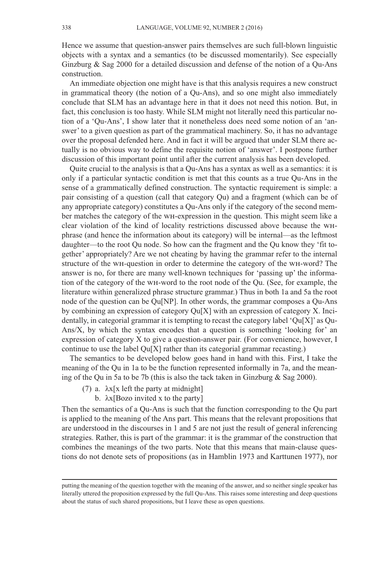Hence we assume that question-answer pairs themselves are such full-blown linguistic objects with a syntax and a semantics (to be discussed momentarily). See especially Ginzburg & Sag 2000 for a detailed discussion and defense of the notion of a Qu-Ans construction.

An immediate objection one might have is that this analysis requires a new construct in grammatical theory (the notion of a Qu-Ans), and so one might also immediately conclude that SLM has an advantage here in that it does not need this notion. But, in fact, this conclusion is too hasty. While SLM might not literally need this particular notion of a 'Qu-Ans', I show later that it nonetheless does need some notion of an 'answer' to a given question as part of the grammatical machinery. So, it has no advantage over the proposal defended here. And in fact it will be argued that under SLM there actually is no obvious way to define the requisite notion of 'answer'. I postpone further discussion of this important point until after the current analysis has been developed.

Quite crucial to the analysis is that a Qu-Ans has a syntax as well as a semantics: it is only if a particular syntactic condition is met that this counts as a true Qu-Ans in the sense of a grammatically defined construction. The syntactic requirement is simple: a pair consisting of a question (call that category Qu) and a fragment (which can be of any appropriate category) constitutes a Qu-Ans only if the category of the second member matches the category of the wh-expression in the question. This might seem like a clear violation of the kind of locality restrictions discussed above because the whphrase (and hence the information about its category) will be internal—as the leftmost daughter—to the root Qu node. So how can the fragment and the Qu know they 'fit together' appropriately? Are we not cheating by having the grammar refer to the internal structure of the wh*-*question in order to determine the category of the wh-word? The answer is no, for there are many well-known techniques for 'passing up' the information of the category of the wh-word to the root node of the Qu. (See, for example, the literature within generalized phrase structure grammar.) Thus in both 1a and 5a the root node of the question can be Qu[NP]. In other words, the grammar composes a Qu-Ans by combining an expression of category Qu[X] with an expression of category X. Incidentally, in categorial grammar it is tempting to recast the category label ' $\text{Qu}[X]$ ' as Qu-Ans/X, by which the syntax encodes that a question is something 'looking for' an expression of category X to give a question-answer pair. (For convenience, however, I continue to use the label Qu[X] rather than its categorial grammar recasting.)

The semantics to be developed below goes hand in hand with this. First, I take the meaning of the Qu in 1a to be the function represented informally in 7a, and the meaning of the Qu in 5a to be 7b (this is also the tack taken in Ginzburg & Sag 2000).

- (7) a.  $\lambda x$ [x left the party at midnight]
	- b. λx[Bozo invited x to the party]

Then the semantics of a Qu-Ans is such that the function corresponding to the Qu part is applied to the meaning of the Ans part. This means that the relevant propositions that are understood in the discourses in 1 and 5 are not just the result of general inferencing strategies. Rather, this is part of the grammar: it is the grammar of the construction that combines the meanings of the two parts. Note that this means that main-clause questions do not denote sets of propositions (as in Hamblin 1973 and Karttunen 1977), nor

putting the meaning of the question together with the meaning of the answer, and so neither single speaker has literally uttered the proposition expressed by the full Qu-Ans. This raises some interesting and deep questions about the status of such shared propositions, but I leave these as open questions.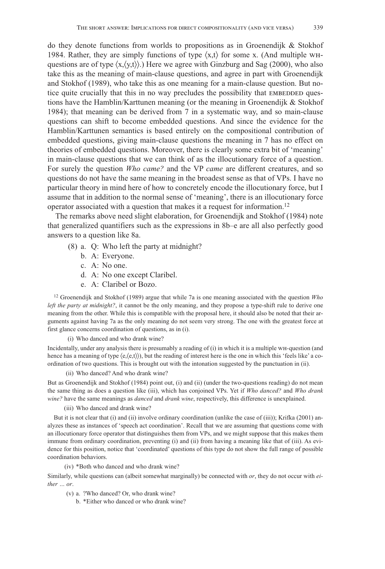do they denote functions from worlds to propositions as in Groenendijk & Stokhof 1984. Rather, they are simply functions of type  $\langle x,t \rangle$  for some x. (And multiple whquestions are of type  $\langle x, \langle y, t \rangle \rangle$ .) Here we agree with Ginzburg and Sag (2000), who also take this as the meaning of main-clause questions, and agree in part with Groenendijk and Stokhof (1989), who take this as one meaning for a main-clause question. But notice quite crucially that this in no way precludes the possibility that EMBEDDED questions have the Hamblin/Karttunen meaning (or the meaning in Groenendijk & Stokhof 1984); that meaning can be derived from 7 in a systematic way, and so main-clause questions can shift to become embedded questions. And since the evidence for the Hamblin/Karttunen semantics is based entirely on the compositional contribution of embedded questions, giving main-clause questions the meaning in 7 has no effect on theories of embedded questions. Moreover, there is clearly some extra bit of 'meaning' in main-clause questions that we can think of as the illocutionary force of a question. For surely the question *Who came?* and the VP *came* are different creatures, and so questions do not have the same meaning in the broadest sense as that of VPs. I have no particular theory in mind here of how to concretely encode the illocutionary force, but I assume that in addition to the normal sense of 'meaning', there is an illocutionary force operator associated with a question that makes it a request for information. 12

The remarks above need slight elaboration, for Groenendijk and Stokhof (1984) note that generalized quantifiers such as the expressions in 8b–e are all also perfectly good answers to a question like 8a.

- (8) a. Q: Who left the party at midnight?
	- b. A: Everyone.
	- c. A: No one.
	- d. A: No one except Claribel.
	- e. A: Claribel or Bozo.

<sup>12</sup> Groenendijk and Stokhof (1989) argue that while 7a is one meaning associated with the question *Who left the party at midnight?*, it cannot be the only meaning, and they propose a type-shift rule to derive one meaning from the other. While this is compatible with the proposal here, it should also be noted that their arguments against having 7a as the only meaning do not seem very strong. The one with the greatest force at first glance concerns coordination of questions, as in (i).

(i) Who danced and who drank wine?

Incidentally, under any analysis there is presumably a reading of (i) in which it is a multiple wh*-*question (and hence has a meaning of type  $\langle e, \langle e, t \rangle \rangle$ , but the reading of interest here is the one in which this 'feels like' a coordination of two questions. This is brought out with the intonation suggested by the punctuation in (ii).

(ii) Who danced? And who drank wine?

But as Groenendijk and Stokhof (1984) point out, (i) and (ii) (under the two-questions reading) do not mean the same thing as does a question like (iii), which has conjoined VPs. Yet if *Who danced?* and *Who drank wine?* have the same meanings as *danced* and *drank wine*, respectively, this difference is unexplained.

(iii) Who danced and drank wine?

But it is not clear that (i) and (ii) involve ordinary coordination (unlike the case of (iii)); Krifka (2001) analyzes these as instances of 'speech act coordination'. Recall that we are assuming that questions come with an illocutionary force operator that distinguishes them from VPs, and we might suppose that this makes them immune from ordinary coordination, preventing (i) and (ii) from having a meaning like that of (iii). As evidence for this position, notice that 'coordinated' questions of this type do not show the full range of possible coordination behaviors.

(iv) \*Both who danced and who drank wine?

Similarly, while questions can (albeit somewhat marginally) be connected with *or*, they do not occur with *either … or*.

- (v) a. ?Who danced? Or, who drank wine?
	- b. \*Either who danced or who drank wine?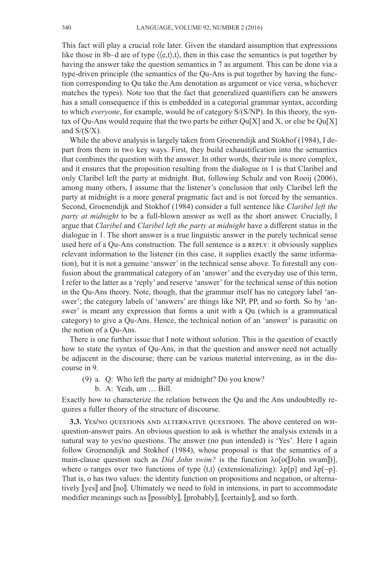This fact will play a crucial role later. Given the standard assumption that expressions like those in 8b–d are of type  $\langle e,t\rangle$ , then in this case the semantics is put together by having the answer take the question semantics in 7 as argument. This can be done via a type-driven principle (the semantics of the Qu-Ans is put together by having the function corresponding to Qu take the Ans denotation as argument or vice versa, whichever matches the types). Note too that the fact that generalized quantifiers can be answers has a small consequence if this is embedded in a categorial grammar syntax, according to which *everyone*, for example, would be of category S/(S/NP). In this theory, the syntax of Qu-Ans would require that the two parts be either  $\text{Qu}[X]$  and X, or else be  $\text{Qu}[X]$ and  $S/(S/X)$ .

While the above analysis is largely taken from Groenendijk and Stokhof (1984), I depart from them in two key ways. First, they build exhaustification into the semantics that combines the question with the answer. In other words, their rule is more complex, and it ensures that the proposition resulting from the dialogue in 1 is that Claribel and only Claribel left the party at midnight. But, following Schulz and von Rooij (2006), among many others, I assume that the listener's conclusion that only Claribel left the party at midnight is a more general pragmatic fact and is not forced by the semantics. Second, Groenendijk and Stokhof (1984) consider a full sentence like *Claribel left the party at midnight* to be a full-blown answer as well as the short answer. Crucially, I argue that *Claribel* and *Claribel left the party at midnight* have a different status in the dialogue in 1. The short answer is a true linguistic answer in the purely technical sense used here of a Qu-Ans construction. The full sentence is a reply: it obviously supplies relevant information to the listener (in this case, it supplies exactly the same information), but it is not a genuine 'answer' in the technical sense above. To forestall any confusion about the grammatical category of an 'answer' and the everyday use of this term, I refer to the latter as a 'reply' and reserve 'answer'for the technical sense of this notion in the Qu-Ans theory. Note, though, that the grammar itself has no category label 'answer'; the category labels of 'answers' are things like NP, PP, and so forth. So by 'answer' is meant any expression that forms a unit with a Qu (which is a grammatical category) to give a Qu-Ans. Hence, the technical notion of an 'answer' is parasitic on the notion of a Qu-Ans.

There is one further issue that I note without solution. This is the question of exactly how to state the syntax of Qu-Ans, in that the question and answer need not actually be adjacent in the discourse; there can be various material intervening, as in the discourse in 9.

- (9) a. Q: Who left the party at midnight? Do you know?
	- b. A: Yeah, um … Bill.

Exactly how to characterize the relation between the Qu and the Ans undoubtedly requires a fuller theory of the structure of discourse.

**3.3.** Yes/no questions and alternative questions. The above centered on whquestion-answer pairs. An obvious question to ask is whether the analysis extends in a natural way to yes/no questions. The answer (no pun intended) is 'Yes'. Here I again follow Groenendijk and Stokhof (1984), whose proposal is that the semantics of a main-clause question such as *Did John swim?* is the function λο[o([John swam])], where o ranges over two functions of type  $\langle t,t \rangle$  (extensionalizing):  $\lambda p[p]$  and  $\lambda p[\sim p]$ . That is, o has two values: the identity function on propositions and negation, or alternatively [[yes]] and [[no]]. Ultimately we need to fold in intensions, in part to accommodate modifier meanings such as [[possibly]], [[probably]], [[certainly]], and so forth.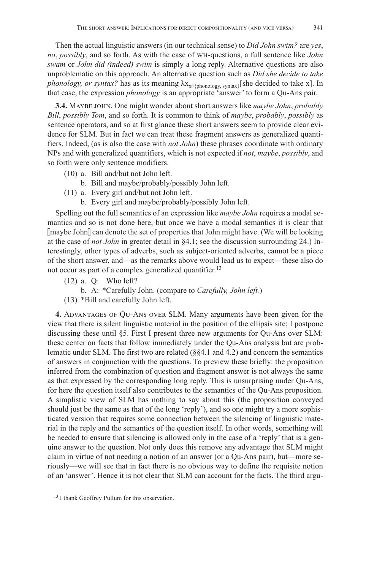Then the actual linguistic answers (in our technical sense) to *Did John swim?* are *yes*, *no*, *possibly*, and so forth. As with the case of wh*-*questions, a full sentence like *John swam* or *John did (indeed) swim* is simply a long reply. Alternative questions are also unproblematic on this approach. An alternative question such as *Did she decide to take phonology, or syntax?* has as its meaning  $\lambda x_{x \in \{phonology, \text{ syntax}\}}$ [she decided to take x]. In that case, the expression *phonology* is an appropriate 'answer' to form a Qu-Ans pair.

**3.4.** Maybe john. One might wonder about short answers like *maybe John*, *probably Bill*, *possibly Tom*, and so forth. It is common to think of *maybe*, *probably*, *possibly* as sentence operators, and so at first glance these short answers seem to provide clear evidence for SLM. But in fact we can treat these fragment answers as generalized quantifiers. Indeed, (as is also the case with *not John*) these phrases coordinate with ordinary NPs and with generalized quantifiers, which is not expected if *not*, *maybe*, *possibly*, and so forth were only sentence modifiers.

- (10) a. Bill and/but not John left.
	- b. Bill and maybe/probably/possibly John left.
- (11) a. Every girl and/but not John left.
	- b. Every girl and maybe/probably/possibly John left.

Spelling out the full semantics of an expression like *maybe John* requires a modal semantics and so is not done here, but once we have a modal semantics it is clear that [maybe John] can denote the set of properties that John might have. (We will be looking at the case of *not John* in greater detail in §4.1; see the discussion surrounding 24.) Interestingly, other types of adverbs, such as subject-oriented adverbs, cannot be a piece of the short answer, and—as the remarks above would lead us to expect—these also do not occur as part of a complex generalized quantifier. 13

- $(12)$  a. Q: Who left?
	- b. A: \*Carefully John. (compare to *Carefully, John left.*)
- (13) \*Bill and carefully John left.

**4.** Advantages of Qu-Ans over SLM. Many arguments have been given for the view that there is silent linguistic material in the position of the ellipsis site; I postpone discussing these until §5. First I present three new arguments for Qu-Ans over SLM: these center on facts that follow immediately under the Qu-Ans analysis but are problematic under SLM. The first two are related  $(\S$ §4.1 and 4.2) and concern the semantics of answers in conjunction with the questions. To preview these briefly: the proposition inferred from the combination of question and fragment answer is not always the same as that expressed by the corresponding long reply. This is unsurprising under Qu-Ans, for here the question itself also contributes to the semantics of the Qu-Ans proposition. A simplistic view of SLM has nothing to say about this (the proposition conveyed should just be the same as that of the long 'reply'), and so one might try a more sophisticated version that requires some connection between the silencing of linguistic material in the reply and the semantics of the question itself. In other words, something will be needed to ensure that silencing is allowed only in the case of a 'reply' that is a genuine answer to the question. Not only does this remove any advantage that SLM might claim in virtue of not needing a notion of an answer (or a Qu-Ans pair), but—more seriously—we will see that in fact there is no obvious way to define the requisite notion of an 'answer'. Hence it is not clear that SLM can account for the facts. The third argu-

<sup>&</sup>lt;sup>13</sup> I thank Geoffrey Pullum for this observation.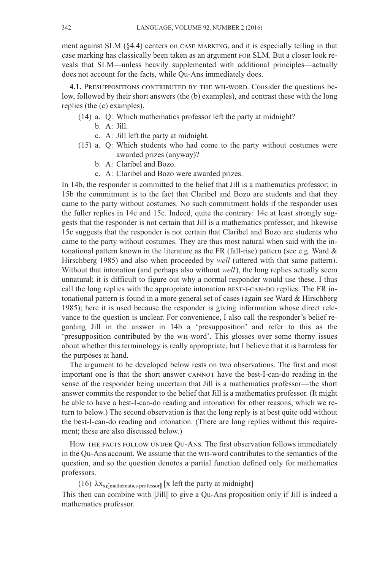ment against SLM  $(\S4.4)$  centers on CASE MARKING, and it is especially telling in that case marking has classically been taken as an argument for SLM. But a closer look reveals that SLM—unless heavily supplemented with additional principles—actually does not account for the facts, while Qu-Ans immediately does.

**4.1.** PRESUPPOSITIONS CONTRIBUTED BY THE WH-WORD. Consider the questions below, followed by their short answers (the (b) examples), and contrast these with the long replies (the (c) examples).

- (14) a. Q: Which mathematics professor left the party at midnight?
	- b. A: Jill.
		- c. A: Jill left the party at midnight.
- (15) a. Q: Which students who had come to the party without costumes were awarded prizes (anyway)?
	- b. A: Claribel and Bozo.
	- c. A: Claribel and Bozo were awarded prizes.

In 14b, the responder is committed to the belief that Jill is a mathematics professor; in 15b the commitment is to the fact that Claribel and Bozo are students and that they came to the party without costumes. No such commitment holds if the responder uses the fuller replies in 14c and 15c. Indeed, quite the contrary: 14c at least strongly suggests that the responder is not certain that Jill is a mathematics professor, and likewise 15c suggests that the responder is not certain that Claribel and Bozo are students who came to the party without costumes. They are thus most natural when said with the intonational pattern known in the literature as the FR (fall-rise) pattern (see e.g. Ward  $\&$ Hirschberg 1985) and also when proceeded by *well* (uttered with that same pattern). Without that intonation (and perhaps also without *well*), the long replies actually seem unnatural; it is difficult to figure out why a normal responder would use these. I thus call the long replies with the appropriate intonation BEST-I-CAN-DO replies. The FR intonational pattern is found in a more general set of cases (again see Ward  $\&$  Hirschberg 1985); here it is used because the responder is giving information whose direct relevance to the question is unclear. For convenience, I also call the responder's belief regarding Jill in the answer in 14b a 'presupposition' and refer to this as the 'presupposition contributed by the wh*-*word'. This glosses over some thorny issues about whether this terminology is really appropriate, but I believe that it is harmless for the purposes at hand.

The argument to be developed below rests on two observations. The first and most important one is that the short answer CANNOT have the best-I-can-do reading in the sense of the responder being uncertain that Jill is a mathematics professor—the short answer commits the responder to the belief that Jill is a mathematics professor. (It might be able to have a best-I-can-do reading and intonation for other reasons, which we return to below.) The second observation is that the long reply is at best quite odd without the best-I-can-do reading and intonation. (There are long replies without this requirement; these are also discussed below.)

How the facts follow under Qu-Ans. The first observation follows immediately in the Qu-Ans account. We assume that the wh-word contributes to the semantics of the question, and so the question denotes a partial function defined only for mathematics professors.

(16)  $\lambda x_{x \in [math}$  mathematics professor [X left the party at midnight]

This then can combine with [Jill] to give a Qu-Ans proposition only if Jill is indeed a mathematics professor.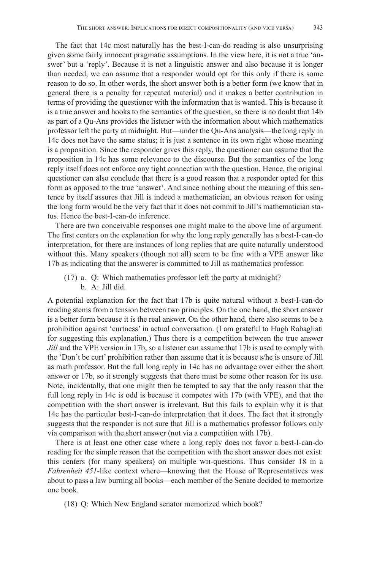The fact that 14c most naturally has the best-I-can-do reading is also unsurprising given some fairly innocent pragmatic assumptions. In the view here, it is not a true 'answer' but a 'reply'. Because it is not a linguistic answer and also because it is longer than needed, we can assume that a responder would opt for this only if there is some reason to do so. In other words, the short answer both is a better form (we know that in general there is a penalty for repeated material) and it makes a better contribution in terms of providing the questioner with the information that is wanted. This is because it is a true answer and hooks to the semantics of the question, so there is no doubt that 14b as part of a Qu-Ans provides the listener with the information about which mathematics professor left the party at midnight. But—under the Qu-Ans analysis—the long reply in 14c does not have the same status; it is just a sentence in its own right whose meaning is a proposition. Since the responder gives this reply, the questioner can assume that the proposition in 14c has some relevance to the discourse. But the semantics of the long reply itself does not enforce any tight connection with the question. Hence, the original questioner can also conclude that there is a good reason that a responder opted for this form as opposed to the true 'answer'. And since nothing about the meaning of this sentence by itself assures that Jill is indeed a mathematician, an obvious reason for using the long form would be the very fact that it does not commit to Jill's mathematician status. Hence the best-I-can-do inference.

There are two conceivable responses one might make to the above line of argument. The first centers on the explanation for why the long reply generally has a best-I-can-do interpretation, for there are instances of long replies that are quite naturally understood without this. Many speakers (though not all) seem to be fine with a VPE answer like 17b as indicating that the answerer is committed to Jill as mathematics professor.

(17) a. Q: Which mathematics professor left the party at midnight? b. A: Jill did.

A potential explanation for the fact that 17b is quite natural without a best-I-can-do reading stems from a tension between two principles. On the one hand, the short answer is a better form because it is the real answer. On the other hand, there also seems to be a prohibition against 'curtness' in actual conversation. (I am grateful to Hugh Rabagliati for suggesting this explanation.) Thus there is a competition between the true answer *Jill* and the VPE version in 17b, so a listener can assume that 17b is used to comply with the 'Don't be curt' prohibition rather than assume that it is because s/he is unsure of Jill as math professor. But the full long reply in 14c has no advantage over either the short answer or 17b, so it strongly suggests that there must be some other reason for its use. Note, incidentally, that one might then be tempted to say that the only reason that the full long reply in 14c is odd is because it competes with 17b (with VPE), and that the competition with the short answer is irrelevant. But this fails to explain why it is that 14c has the particular best-I-can-do interpretation that it does. The fact that it strongly suggests that the responder is not sure that Jill is a mathematics professor follows only via comparison with the short answer (not via a competition with 17b).

There is at least one other case where a long reply does not favor a best-I-can-do reading for the simple reason that the competition with the short answer does not exist: this centers (for many speakers) on multiple wh-questions. Thus consider 18 in a *Fahrenheit 451*-like context where—knowing that the House of Representatives was about to pass a law burning all books—each member of the Senate decided to memorize one book.

(18) Q: Which New England senator memorized which book?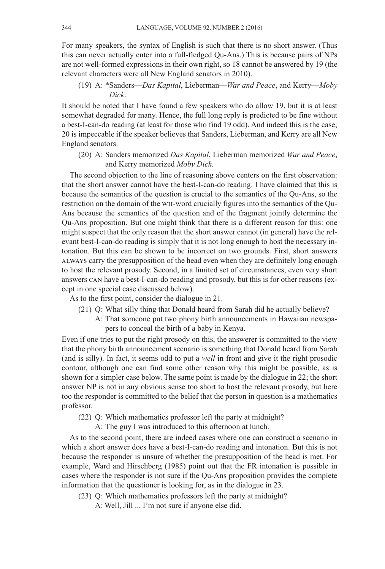For many speakers, the syntax of English is such that there is no short answer. (Thus this can never actually enter into a full-fledged Qu-Ans.) This is because pairs of NPs are not well-formed expressions in their own right, so 18 cannot be answered by 19 (the relevant characters were all New England senators in 2010).

(19) A: \*Sanders—*Das Kapital*, Lieberman—*War and Peace*, and Kerry—*Moby Dick*.

It should be noted that I have found a few speakers who do allow 19, but it is at least somewhat degraded for many. Hence, the full long reply is predicted to be fine without a best-I-can-do reading (at least for those who find 19 odd). And indeed this is the case; 20 is impeccable if the speaker believes that Sanders, Lieberman, and Kerry are all New England senators.

(20) A: Sanders memorized *Das Kapital*, Lieberman memorized *War and Peace*, and Kerry memorized *Moby Dick*.

The second objection to the line of reasoning above centers on the first observation: that the short answer cannot have the best-I-can-do reading. I have claimed that this is because the semantics of the question is crucial to the semantics of the Qu-Ans, so the restriction on the domain of the wh-word crucially figures into the semantics of the Qu-Ans because the semantics of the question and of the fragment jointly determine the Qu-Ans proposition. But one might think that there is a different reason for this: one might suspect that the only reason that the short answer cannot (in general) have the relevant best-I-can-do reading is simply that it is not long enough to host the necessary intonation. But this can be shown to be incorrect on two grounds. First, short answers always carry the presupposition of the head even when they are definitely long enough to host the relevant prosody. Second, in a limited set of circumstances, even very short answers can have a best-I-can-do reading and prosody, but this is for other reasons (except in one special case discussed below).

As to the first point, consider the dialogue in 21.

- (21) Q: What silly thing that Donald heard from Sarah did he actually believe?
	- A: That someone put two phony birth announcements in Hawaiian newspapers to conceal the birth of a baby in Kenya.

Even if one tries to put the right prosody on this, the answerer is committed to the view that the phony birth announcement scenario is something that Donald heard from Sarah (and is silly). In fact, it seems odd to put a *well* in front and give it the right prosodic contour, although one can find some other reason why this might be possible, as is shown for a simpler case below. The same point is made by the dialogue in 22; the short answer NP is not in any obvious sense too short to host the relevant prosody, but here too the responder is committed to the belief that the person in question is a mathematics professor.

(22) Q: Which mathematics professor left the party at midnight?

A: The guy I was introduced to this afternoon at lunch.

As to the second point, there are indeed cases where one can construct a scenario in which a short answer does have a best-I-can-do reading and intonation. But this is not because the responder is unsure of whether the presupposition of the head is met. For example, Ward and Hirschberg (1985) point out that the FR intonation is possible in cases where the responder is not sure if the Qu-Ans proposition provides the complete information that the questioner is looking for, as in the dialogue in 23.

(23) Q: Which mathematics professors left the party at midnight?

A: Well, Jill ... I'm not sure if anyone else did.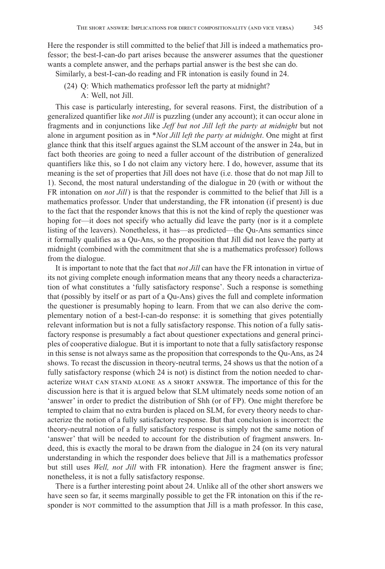Here the responder is still committed to the belief that Jill is indeed a mathematics professor; the best-I-can-do part arises because the answerer assumes that the questioner wants a complete answer, and the perhaps partial answer is the best she can do.

Similarly, a best-I-can-do reading and FR intonation is easily found in 24.

- (24) Q: Which mathematics professor left the party at midnight?
	- A: Well, not Jill.

This case is particularly interesting, for several reasons. First, the distribution of a generalized quantifier like *not Jill* is puzzling (under any account); it can occur alone in fragments and in conjunctions like *Jeff but not Jill left the party at midnight* but not alone in argument position as in *\*Not Jill left the party at midnight*. One might at first glance think that this itself argues against the SLM account of the answer in 24a, but in fact both theories are going to need a fuller account of the distribution of generalized quantifiers like this, so I do not claim any victory here. I do, however, assume that its meaning is the set of properties that Jill does not have (i.e. those that do not map Jill to 1). Second, the most natural understanding of the dialogue in 20 (with or without the FR intonation on *not Jill*) is that the responder is committed to the belief that Jill is a mathematics professor. Under that understanding, the FR intonation (if present) is due to the fact that the responder knows that this is not the kind of reply the questioner was hoping for—it does not specify who actually did leave the party (nor is it a complete listing of the leavers). Nonetheless, it has—as predicted—the Qu-Ans semantics since it formally qualifies as a Qu-Ans, so the proposition that Jill did not leave the party at midnight (combined with the commitment that she is a mathematics professor) follows from the dialogue.

It is important to note that the fact that *not Jill* can have the FR intonation in virtue of its not giving complete enough information means that any theory needs a characterization of what constitutes a 'fully satisfactory response'. Such a response is something that (possibly by itself or as part of a Qu-Ans) gives the full and complete information the questioner is presumably hoping to learn. From that we can also derive the complementary notion of a best-I-can-do response: it is something that gives potentially relevant information but is not a fully satisfactory response. This notion of a fully satisfactory response is presumably a fact about questioner expectations and general principles of cooperative dialogue. But it is important to note that a fully satisfactory response in this sense is not always same as the proposition that corresponds to the Qu-Ans, as 24 shows. To recast the discussion in theory-neutral terms, 24 shows us that the notion of a fully satisfactory response (which 24 is not) is distinct from the notion needed to characterize what can stand alone as a short answer. The importance of this for the discussion here is that it is argued below that SLM ultimately needs some notion of an 'answer' in order to predict the distribution of Shh (or of FP). One might therefore be tempted to claim that no extra burden is placed on SLM, for every theory needs to characterize the notion of a fully satisfactory response. But that conclusion is incorrect: the theory-neutral notion of a fully satisfactory response is simply not the same notion of 'answer' that will be needed to account for the distribution of fragment answers. Indeed, this is exactly the moral to be drawn from the dialogue in 24 (on its very natural understanding in which the responder does believe that Jill is a mathematics professor but still uses *Well, not Jill* with FR intonation). Here the fragment answer is fine; nonetheless, it is not a fully satisfactory response.

There is a further interesting point about 24. Unlike all of the other short answers we have seen so far, it seems marginally possible to get the FR intonation on this if the responder is not committed to the assumption that Jill is a math professor. In this case,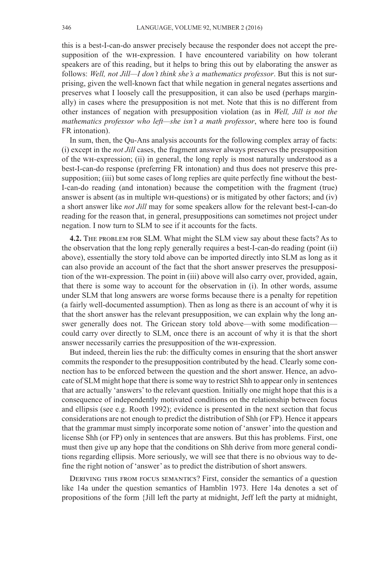this is a best-I-can-do answer precisely because the responder does not accept the presupposition of the wh-expression. I have encountered variability on how tolerant speakers are of this reading, but it helps to bring this out by elaborating the answer as follows: *Well, not Jill—I don't think she's a mathematics professor*. But this is not surprising, given the well-known fact that while negation in general negates assertions and preserves what I loosely call the presupposition, it can also be used (perhaps marginally) in cases where the presupposition is not met. Note that this is no different from other instances of negation with presupposition violation (as in *Well, Jill is not the mathematics professor who left—she isn't a math professor*, where here too is found FR intonation).

In sum, then, the Qu-Ans analysis accounts for the following complex array of facts: (i) except in the *not Jill* cases, the fragment answer always preserves the presupposition of the wh-expression; (ii) in general, the long reply is most naturally understood as a best-I-can-do response (preferring FR intonation) and thus does not preserve this presupposition; (iii) but some cases of long replies are quite perfectly fine without the best-I-can-do reading (and intonation) because the competition with the fragment (true) answer is absent (as in multiple wh-questions) or is mitigated by other factors; and (iv) a short answer like *not Jill* may for some speakers allow for the relevant best-I-can-do reading for the reason that, in general, presuppositions can sometimes not project under negation. I now turn to SLM to see if it accounts for the facts.

**4.2.** The problem for SLM. What might the SLM view say about these facts? As to the observation that the long reply generally requires a best-I-can-do reading (point (ii) above), essentially the story told above can be imported directly into SLM as long as it can also provide an account of the fact that the short answer preserves the presupposition of the wh-expression. The point in (iii) above will also carry over, provided, again, that there is some way to account for the observation in (i). In other words, assume under SLM that long answers are worse forms because there is a penalty for repetition (a fairly well-documented assumption). Then as long as there is an account of why it is that the short answer has the relevant presupposition, we can explain why the long answer generally does not. The Gricean story told above—with some modification could carry over directly to SLM, once there is an account of why it is that the short answer necessarily carries the presupposition of the wh-expression.

But indeed, therein lies the rub: the difficulty comes in ensuring that the short answer commits the responder to the presupposition contributed by the head. Clearly some connection has to be enforced between the question and the short answer. Hence, an advocate of SLM might hope that there is some way to restrict Shh to appear only in sentences that are actually 'answers'to the relevant question. Initially one might hope that this is a consequence of independently motivated conditions on the relationship between focus and ellipsis (see e.g. Rooth 1992); evidence is presented in the next section that focus considerations are not enough to predict the distribution of Shh (or FP). Hence it appears that the grammar must simply incorporate some notion of 'answer'into the question and license Shh (or FP) only in sentences that are answers. But this has problems. First, one must then give up any hope that the conditions on Shh derive from more general conditions regarding ellipsis. More seriously, we will see that there is no obvious way to define the right notion of 'answer' as to predict the distribution of short answers.

DERIVING THIS FROM FOCUS SEMANTICS? First, consider the semantics of a question like 14a under the question semantics of Hamblin 1973. Here 14a denotes a set of propositions of the form {Jill left the party at midnight, Jeff left the party at midnight,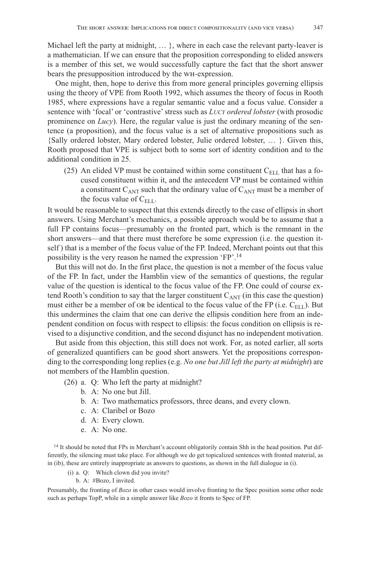Michael left the party at midnight, ... }, where in each case the relevant party-leaver is a mathematician. If we can ensure that the proposition corresponding to elided answers is a member of this set, we would successfully capture the fact that the short answer bears the presupposition introduced by the wh-expression.

One might, then, hope to derive this from more general principles governing ellipsis using the theory of VPE from Rooth 1992, which assumes the theory of focus in Rooth 1985, where expressions have a regular semantic value and a focus value. Consider a sentence with 'focal' or 'contrastive'stress such as *LUCY ordered lobster* (with prosodic prominence on *Lucy*). Here, the regular value is just the ordinary meaning of the sentence (a proposition), and the focus value is a set of alternative propositions such as {Sally ordered lobster, Mary ordered lobster, Julie ordered lobster, … }. Given this, Rooth proposed that VPE is subject both to some sort of identity condition and to the additional condition in 25.

(25) An elided VP must be contained within some constituent  $C_{ELL}$  that has a focused constituent within it, and the antecedent VP must be contained within a constituent  $C_{ANT}$  such that the ordinary value of  $C_{ANT}$  must be a member of the focus value of  $C_{\text{ELL}}$ .

It would be reasonable to suspect that this extends directly to the case of ellipsis in short answers. Using Merchant's mechanics, a possible approach would be to assume that a full FP contains focus—presumably on the fronted part, which is the remnant in the short answers—and that there must therefore be some expression (i.e. the question itself ) that is a member of the focus value of the FP. Indeed, Merchant points out that this possibility is the very reason he named the expression 'FP'. 14

But this will not do. In the first place, the question is not a member of the focus value of the FP. In fact, under the Hamblin view of the semantics of questions, the regular value of the question is identical to the focus value of the FP. One could of course extend Rooth's condition to say that the larger constituent  $C_{ANT}$  (in this case the question) must either be a member of  $\alpha$  be identical to the focus value of the FP (i.e.  $C_{\text{ELL}}$ ). But this undermines the claim that one can derive the ellipsis condition here from an independent condition on focus with respect to ellipsis: the focus condition on ellipsis is revised to a disjunctive condition, and the second disjunct has no independent motivation.

But aside from this objection, this still does not work. For, as noted earlier, all sorts of generalized quantifiers can be good short answers. Yet the propositions corresponding to the corresponding long replies (e.g. *No one but Jill left the party at midnight*) are not members of the Hamblin question.

- (26) a. Q: Who left the party at midnight?
	- b. A: No one but Jill.
	- b. A: Two mathematics professors, three deans, and every clown.
	- c. A: Claribel or Bozo
	- d. A: Every clown.
	- e. A: No one.

<sup>14</sup> It should be noted that FPs in Merchant's account obligatorily contain Shh in the head position. Put differently, the silencing must take place. For although we do get topicalized sentences with fronted material, as in (ib), these are entirely inappropriate as answers to questions, as shown in the full dialogue in (i).

- $(i)$  a. Q: Which clown did you invite?
	- b. A: #Bozo, I invited.

Presumably, the fronting of *Bozo* in other cases would involve fronting to the Spec position some other node such as perhaps TopP, while in a simple answer like *Bozo* it fronts to Spec of FP.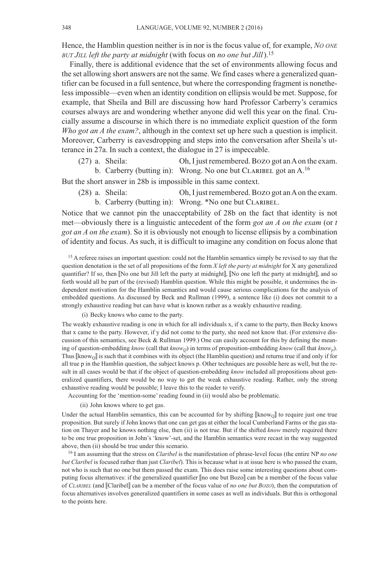Hence, the Hamblin question neither is in nor is the focus value of, for example, *NO ONE BUT JILL left the party at midnight* (with focus on *no one but Jill*). 15

Finally, there is additional evidence that the set of environments allowing focus and the set allowing short answers are not the same. We find cases where a generalized quantifier can be focused in a full sentence, but where the corresponding fragment is nonethelessimpossible—even when an identity condition on ellipsis would be met. Suppose, for example, that Sheila and Bill are discussing how hard Professor Carberry's ceramics courses always are and wondering whether anyone did well this year on the final. Crucially assume a discourse in which there is no immediate explicit question of the form *Who got an A the exam?*, although in the context set up here such a question is implicit. Moreover, Carberry is eavesdropping and steps into the conversation after Sheila's utterance in 27a. In such a context, the dialogue in 27 is impeccable.

(27) a. Sheila: Oh, Ijustremembered.Bozo got anAon the exam.

b. Carberry (butting in): Wrong. No one but CLARIBEL got an A.<sup>16</sup>

But the short answer in 28b is impossible in this same context.

(28) a. Sheila: Oh, Ijustremembered.Bozo got anAon the exam. b. Carberry (butting in): Wrong. \*No one but CLARIBEL.

Notice that we cannot pin the unacceptability of 28b on the fact that identity is not met—obviously there is a linguistic antecedent of the form *got an A on the exam* (or *t got an A on the exam*). So it is obviously not enough to license ellipsis by a combination of identity and focus. As such, it is difficult to imagine any condition on focus alone that

<sup>15</sup> A referee raises an important question: could not the Hamblin semantics simply be revised to say that the question denotation is the set of all propositions of the form *X left the party at midnight* for X any generalized quantifier? If so, then [No one but Jill left the party at midnight], [No one left the party at midnight], and so forth would all be part of the (revised) Hamblin question. While this might be possible, it undermines the independent motivation for the Hamblin semantics and would cause serious complications for the analysis of embedded questions. As discussed by Beck and Rullman (1999), a sentence like (i) does not commit to a strongly exhaustive reading but can have what is known rather as a weakly exhaustive reading.

(i) Becky knows who came to the party.

The weakly exhaustive reading is one in which for all individuals x, if x came to the party, then Becky knows that x came to the party. However, if y did not come to the party, she need not know that. (For extensive discussion of this semantics, see Beck & Rullman 1999.) One can easily account for this by defining the meaning of question-embedding *know* (call that *know<sub>o</sub>*) in terms of proposition-embedding *know* (call that *know<sub>p</sub>*). Thus  $[\text{know}_Q]$  is such that it combines with its object (the Hamblin question) and returns true if and only if for all true p in the Hamblin question, the subject knows p. Other techniques are possible here as well, but the result in all cases would be that if the object of question-embedding *know* included all propositions about generalized quantifiers, there would be no way to get the weak exhaustive reading. Rather, only the strong exhaustive reading would be possible; I leave this to the reader to verify.

Accounting for the 'mention-some' reading found in (ii) would also be problematic.

(ii) John knows where to get gas.

Under the actual Hamblin semantics, this can be accounted for by shifting  $[\![$ know $\sigma$  $\!]$  to require just one true proposition. But surely if John knows that one can get gas at either the local Cumberland Farms or the gas station on Thayer and he knows nothing else, then (ii) is not true. But if the shifted *know* merely required there to be one true proposition in John's 'know'-set, and the Hamblin semantics were recast in the way suggested above, then (ii) should be true under this scenario.

<sup>16</sup> I am assuming that the stress on *Claribel* is the manifestation of phrase-level focus (the entire NP *no one but Claribel* is focused rather than just *Claribel*). This is because what is at issue here is who passed the exam, not who is such that no one but them passed the exam. This does raise some interesting questions about computing focus alternatives: if the generalized quantifier [no one but Bozo]] can be a member of the focus value of *CLARIBEL* (and [Claribel] can be a member of the focus value of *no one but BOZO*), then the computation of focus alternatives involves generalized quantifiers in some cases as well as individuals. But this is orthogonal to the points here.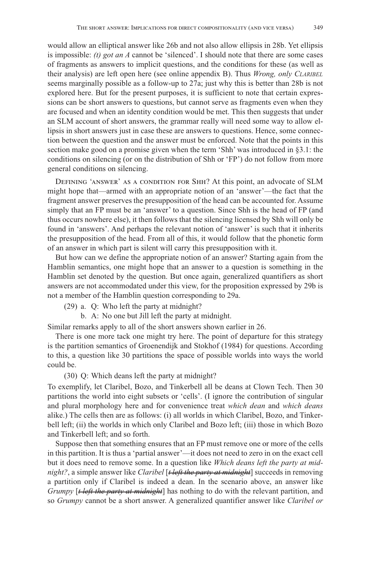would allow an elliptical answer like 26b and not also allow ellipsis in 28b. Yet ellipsis is impossible: *(t) got an A* cannot be 'silenced'. I should note that there are some cases of fragments as answers to implicit questions, and the conditions for these (as well as their analysis) are left open here (see online appendix B). Thus *Wrong, only CLARIBEL* seems marginally possible as a follow-up to 27a; just why this is better than 28b is not explored here. But for the present purposes, it is sufficient to note that certain expressions can be short answers to questions, but cannot serve as fragments even when they are focused and when an identity condition would be met. This then suggests that under an SLM account of short answers, the grammar really will need some way to allow ellipsis in short answers just in case these are answers to questions. Hence, some connection between the question and the answer must be enforced. Note that the points in this section make good on a promise given when the term 'Shh' was introduced in §3.1: the conditions on silencing (or on the distribution of Shh or 'FP') do not follow from more general conditions on silencing.

Defining 'answer' as a condition for Shh? At this point, an advocate of SLM might hope that—armed with an appropriate notion of an 'answer'—the fact that the fragment answer preserves the presupposition of the head can be accounted for. Assume simply that an FP must be an 'answer' to a question. Since Shh is the head of FP (and thus occurs nowhere else), it then follows that the silencing licensed by Shh will only be found in 'answers'. And perhaps the relevant notion of 'answer' is such that it inherits the presupposition of the head. From all of this, it would follow that the phonetic form of an answer in which part is silent will carry this presupposition with it.

But how can we define the appropriate notion of an answer? Starting again from the Hamblin semantics, one might hope that an answer to a question is something in the Hamblin set denoted by the question. But once again, generalized quantifiers as short answers are not accommodated under this view, for the proposition expressed by 29b is not a member of the Hamblin question corresponding to 29a.

- (29) a. Q: Who left the party at midnight?
	- b. A: No one but Jill left the party at midnight.

Similar remarks apply to all of the short answers shown earlier in 26.

There is one more tack one might try here. The point of departure for this strategy is the partition semantics of Groenendijk and Stokhof (1984) for questions. According to this, a question like 30 partitions the space of possible worlds into ways the world could be.

(30) Q: Which deans left the party at midnight?

To exemplify, let Claribel, Bozo, and Tinkerbell all be deans at Clown Tech. Then 30 partitions the world into eight subsets or 'cells'. (I ignore the contribution of singular and plural morphology here and for convenience treat *which dean* and *which deans* alike.) The cells then are as follows: (i) all worlds in which Claribel, Bozo, and Tinkerbell left; (ii) the worlds in which only Claribel and Bozo left; (iii) those in which Bozo and Tinkerbell left; and so forth.

Suppose then that something ensures that an FP must remove one or more of the cells in this partition. It is thus a 'partial answer'—it does not need to zero in on the exact cell but it does need to remove some. In a question like *Which deans left the party at midnight?*, a simple answer like *Claribel* [*t left the party at midnight*] succeeds in removing a partition only if Claribel is indeed a dean. In the scenario above, an answer like *Grumpy* [*t left the party at midnight*] has nothing to do with the relevant partition, and so *Grumpy* cannot be a short answer. A generalized quantifier answer like *Claribel or*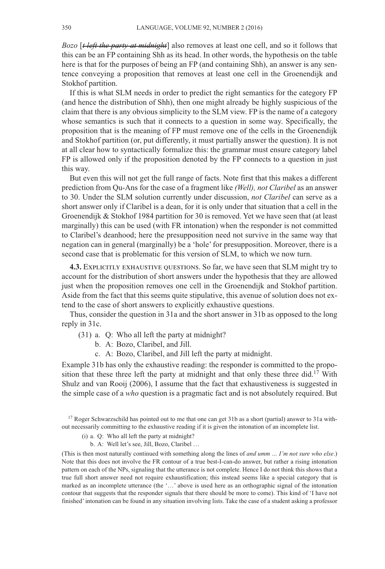*Bozo* [*t left the party at midnight*] also removes at least one cell, and so it follows that this can be an FP containing Shh as its head. In other words, the hypothesis on the table here is that for the purposes of being an FP (and containing Shh), an answer is any sentence conveying a proposition that removes at least one cell in the Groenendijk and Stokhof partition.

If this is what SLM needs in order to predict the right semantics for the category FP (and hence the distribution of Shh), then one might already be highly suspicious of the claim that there is any obvious simplicity to the SLM view. FP is the name of a category whose semantics is such that it connects to a question in some way. Specifically, the proposition that is the meaning of FP must remove one of the cells in the Groenendijk and Stokhof partition (or, put differently, it must partially answer the question). It is not at all clear how to syntactically formalize this: the grammar must ensure category label FP is allowed only if the proposition denoted by the FP connects to a question in just this way.

But even this will not get the full range of facts. Note first that this makes a different prediction from Qu-Ans for the case of a fragment like *(Well), not Claribel* as an answer to 30. Under the SLM solution currently under discussion, *not Claribel* can serve as a short answer only if Claribel is a dean, for it is only under that situation that a cell in the Groenendijk & Stokhof 1984 partition for 30 is removed. Yet we have seen that (at least marginally) this can be used (with FR intonation) when the responder is not committed to Claribel's deanhood; here the presupposition need not survive in the same way that negation can in general (marginally) be a 'hole' for presupposition. Moreover, there is a second case that is problematic for this version of SLM, to which we now turn.

**4.3.** Explicitly exhaustive questions. So far, we have seen that SLM might try to account for the distribution of short answers under the hypothesis that they are allowed just when the proposition removes one cell in the Groenendijk and Stokhof partition. Aside from the fact that this seems quite stipulative, this avenue of solution does not extend to the case of short answers to explicitly exhaustive questions.

Thus, consider the question in 31a and the short answer in 31b as opposed to the long reply in 31c.

- (31) a. Q: Who all left the party at midnight?
	- b. A: Bozo, Claribel, and Jill.
	- c. A: Bozo, Claribel, and Jill left the party at midnight.

Example 31b has only the exhaustive reading: the responder is committed to the proposition that these three left the party at midnight and that only these three did.<sup>17</sup> With Shulz and van Rooij (2006), I assume that the fact that exhaustiveness is suggested in the simple case of a *who* question is a pragmatic fact and is not absolutely required. But

<sup>17</sup> Roger Schwarzschild has pointed out to me that one can get 31b as a short (partial) answer to 31a without necessarily committing to the exhaustive reading if it is given the intonation of an incomplete list.

- $(i)$  a. Q: Who all left the party at midnight?
	- b. A: Well let's see, Jill, Bozo, Claribel …

(This is then most naturally continued with something along the lines of *and umm … I'm not sure who else*.) Note that this does not involve the FR contour of a true best-I-can-do answer, but rather a rising intonation pattern on each of the NPs, signaling that the utterance is not complete. Hence I do not think this shows that a true full short answer need not require exhaustification; this instead seems like a special category that is marked as an incomplete utterance (the '…' above is used here as an orthographic signal of the intonation contour that suggests that the responder signals that there should be more to come). This kind of 'I have not finished'intonation can be found in any situation involving lists. Take the case of a student asking a professor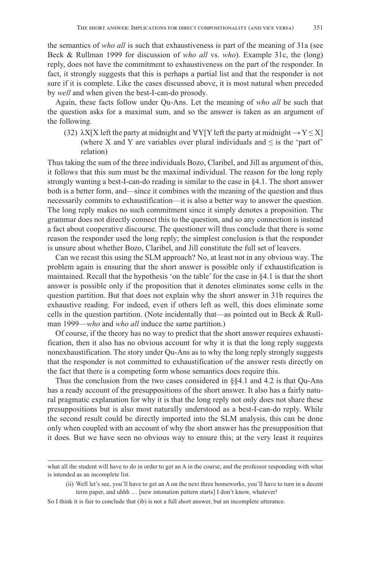the semantics of *who all* is such that exhaustiveness is part of the meaning of 31a (see Beck & Rullman 1999 for discussion of *who all* vs. *who*). Example 31c, the (long) reply, does not have the commitment to exhaustiveness on the part of the responder. In fact, it strongly suggests that this is perhaps a partial list and that the responder is not sure if it is complete. Like the cases discussed above, it is most natural when preceded by *well* and when given the best-I-can-do prosody.

Again, these facts follow under Qu-Ans. Let the meaning of *who all* be such that the question asks for a maximal sum, and so the answer is taken as an argument of the following.

(32)  $\lambda$ X[X left the party at midnight and  $\forall$ Y[Y left the party at midnight  $\rightarrow$  Y  $\leq$  X] (where X and Y are variables over plural individuals and  $\leq$  is the 'part of' relation)

Thus taking the sum of the three individuals Bozo, Claribel, and Jill as argument of this, it follows that this sum must be the maximal individual. The reason for the long reply strongly wanting a best-I-can-do reading is similar to the case in §4.1. The short answer both is a better form, and—since it combines with the meaning of the question and thus necessarily commits to exhaustification—it is also a better way to answer the question. The long reply makes no such commitment since it simply denotes a proposition. The grammar does not directly connect this to the question, and so any connection is instead a fact about cooperative discourse. The questioner will thus conclude that there is some reason the responder used the long reply; the simplest conclusion is that the responder is unsure about whether Bozo, Claribel, and Jill constitute the full set of leavers.

Can we recast this using the SLM approach? No, at least not in any obvious way. The problem again is ensuring that the short answer is possible only if exhaustification is maintained. Recall that the hypothesis 'on the table'for the case in §4.1 is that the short answer is possible only if the proposition that it denotes eliminates some cells in the question partition. But that does not explain why the short answer in 31b requires the exhaustive reading. For indeed, even if others left as well, this does eliminate some cells in the question partition. (Note incidentally that—as pointed out in Beck & Rullman 1999—*who* and *who all* induce the same partition.)

Of course, if the theory has no way to predict that the short answer requires exhaustification, then it also has no obvious account for why it is that the long reply suggests nonexhaustification. The story under Qu-Ans as to why the long reply strongly suggests that the responder is not committed to exhaustification of the answer rests directly on the fact that there is a competing form whose semantics does require this.

Thus the conclusion from the two cases considered in  $\S$ §4.1 and 4.2 is that Qu-Ans has a ready account of the presuppositions of the short answer. It also has a fairly natural pragmatic explanation for why it is that the long reply not only does not share these presuppositions but is also most naturally understood as a best-I-can-do reply. While the second result could be directly imported into the SLM analysis, this can be done only when coupled with an account of why the short answer has the presupposition that it does. But we have seen no obvious way to ensure this; at the very least it requires

what all the student will have to do in order to get an A in the course, and the professor responding with what is intended as an incomplete list.

i(ii) Well let's see, you'll have to get an A on the next three homeworks, you'll have to turn in a decent term paper, and uhhh … [new intonation pattern starts] I don't know, whatever!

So I think it is fair to conclude that (ib) is not a full short answer, but an incomplete utterance.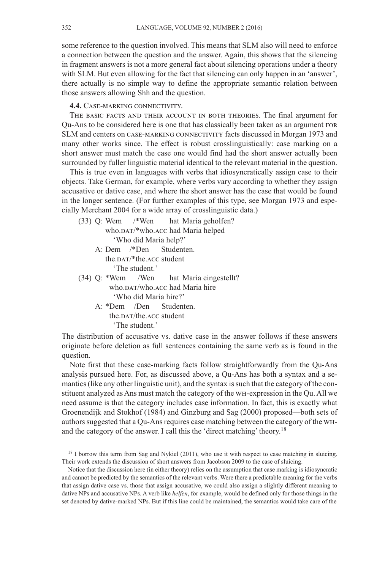some reference to the question involved. This means that SLM also will need to enforce a connection between the question and the answer. Again, this shows that the silencing in fragment answers is not a more general fact about silencing operations under a theory with SLM. But even allowing for the fact that silencing can only happen in an 'answer', there actually is no simple way to define the appropriate semantic relation between those answers allowing Shh and the question.

**4.4.** Case-marking connectivity.

The basic facts and their account in both theories. The final argument for Qu-Ans to be considered here is one that has classically been taken as an argument for SLM and centers on case-marking connectivity facts discussed in Morgan 1973 and many other works since. The effect is robust crosslinguistically: case marking on a short answer must match the case one would find had the short answer actually been surrounded by fuller linguistic material identical to the relevant material in the question.

This is true even in languages with verbs that idiosyncratically assign case to their objects. Take German, for example, where verbs vary according to whether they assign accusative or dative case, and where the short answer has the case that would be found in the longer sentence. (For further examples of this type, see Morgan 1973 and especially Merchant 2004 for a wide array of crosslinguistic data.)

|                                |                                              |  |  | (33) Q: Wem /*Wen hat Maria geholfen?    |  |  |  |  |
|--------------------------------|----------------------------------------------|--|--|------------------------------------------|--|--|--|--|
|                                |                                              |  |  | who.DAT/*who.ACC had Maria helped        |  |  |  |  |
| 'Who did Maria help?'          |                                              |  |  |                                          |  |  |  |  |
|                                |                                              |  |  | A: Dem /*Den Studenten.                  |  |  |  |  |
|                                | the. $\text{DATA}$ the. $\text{ACC}$ student |  |  |                                          |  |  |  |  |
| 'The student.'                 |                                              |  |  |                                          |  |  |  |  |
|                                |                                              |  |  | (34) Q: *Wem /Wen hat Maria eingestellt? |  |  |  |  |
| who.DAT/who.ACC had Maria hire |                                              |  |  |                                          |  |  |  |  |
| 'Who did Maria hire?'          |                                              |  |  |                                          |  |  |  |  |
|                                |                                              |  |  |                                          |  |  |  |  |

A: \*Dem /Den Studenten. the.DAT/the.ACC student 'The student.'

The distribution of accusative vs. dative case in the answer follows if these answers originate before deletion as full sentences containing the same verb as is found in the question.

Note first that these case-marking facts follow straightforwardly from the Qu-Ans analysis pursued here. For, as discussed above, a Qu-Ans has both a syntax and a semantics(like any other linguistic unit), and the syntax issuch that the category of the constituent analyzed as Ans must match the category of the WH-expression in the Qu. All we need assume is that the category includes case information. In fact, this is exactly what Groenendijk and Stokhof (1984) and Ginzburg and Sag (2000) proposed—both sets of authors suggested that a Qu-Ans requires case matching between the category of the WHand the category of the answer. I call this the 'direct matching' theory.<sup>18</sup>

<sup>18</sup> I borrow this term from Sag and Nykiel (2011), who use it with respect to case matching in sluicing. Their work extends the discussion of short answers from Jacobson 2009 to the case of sluicing.

Notice that the discussion here (in either theory) relies on the assumption that case marking is idiosyncratic and cannot be predicted by the semantics of the relevant verbs. Were there a predictable meaning for the verbs that assign dative case vs. those that assign accusative, we could also assign a slightly different meaning to dative NPs and accusative NPs. A verb like *helfen*, for example, would be defined only for those things in the set denoted by dative-marked NPs. But if this line could be maintained, the semantics would take care of the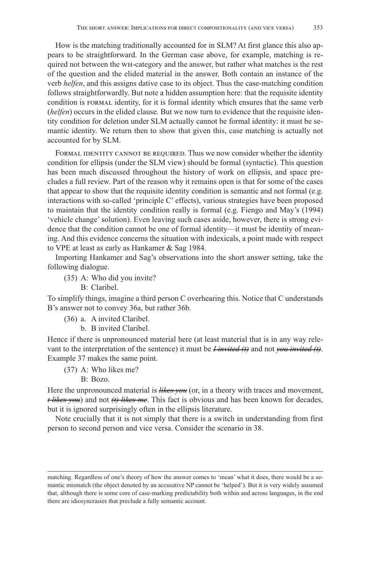How is the matching traditionally accounted for in SLM? At first glance this also appears to be straightforward. In the German case above, for example, matching is required not between the wh-category and the answer, but rather what matches is the rest of the question and the elided material in the answer. Both contain an instance of the verb *helfen*, and this assigns dative case to its object. Thus the case-matching condition follows straightforwardly. But note a hidden assumption here: that the requisite identity condition is formal identity, for it is formal identity which ensures that the same verb (*helfen*) occurs in the elided clause. But we now turn to evidence that the requisite identity condition for deletion under SLM actually cannot be formal identity: it must be semantic identity. We return then to show that given this, case matching is actually not accounted for by SLM.

FORMAL IDENTITY CANNOT BE REQUIRED. Thus we now consider whether the identity condition for ellipsis (under the SLM view) should be formal (syntactic). This question has been much discussed throughout the history of work on ellipsis, and space precludes a full review. Part of the reason why it remains open is that for some of the cases that appear to show that the requisite identity condition is semantic and not formal (e.g. interactions with so-called 'principle C' effects), various strategies have been proposed to maintain that the identity condition really is formal (e.g. Fiengo and May's (1994) 'vehicle change'solution). Even leaving such cases aside, however, there is strong evidence that the condition cannot be one of formal identity—it must be identity of meaning. And this evidence concerns the situation with indexicals, a point made with respect to VPE at least as early as Hankamer & Sag 1984.

Importing Hankamer and Sag's observations into the short answer setting, take the following dialogue.

(35) A: Who did you invite?

B: Claribel.

To simplify things, imagine a third person C overhearing this. Notice that C understands B's answer not to convey 36a, but rather 36b.

(36) a. A invited Claribel.

b. B invited Claribel.

Hence if there is unpronounced material here (at least material that is in any way relevant to the interpretation of the sentence) it must be  $\overrightarrow{H}$  *invited* (*t*) and not *you invited* (*t*). Example 37 makes the same point.

(37) A: Who likes me?

B: Bozo.

Here the unpronounced material is *likes you* (or, in a theory with traces and movement, *t likes you*) and not *(t) likes me*. This fact is obvious and has been known for decades, but it is ignored surprisingly often in the ellipsis literature.

Note crucially that it is not simply that there is a switch in understanding from first person to second person and vice versa. Consider the scenario in 38.

matching. Regardless of one's theory of how the answer comes to 'mean' what it does, there would be a semantic mismatch (the object denoted by an accusative NP cannot be 'helped'). But it is very widely assumed that, although there is some core of case-marking predictability both within and across languages, in the end there are idiosyncrasies that preclude a fully semantic account.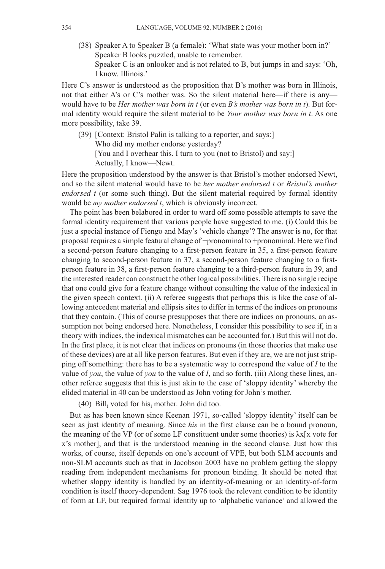(38) Speaker A to Speaker B (a female): 'What state was your mother born in?' Speaker B looks puzzled, unable to remember. Speaker C is an onlooker and is not related to B, but jumps in and says: 'Oh, I know. Illinois.'

Here C's answer is understood as the proposition that B's mother was born in Illinois, not that either A's or C's mother was. So the silent material here—if there is any would have to be *Her mother was born in t* (or even *B's mother was born in t*). But formal identity would require the silent material to be *Your mother was born in t*. As one more possibility, take 39.

(39) [Context: Bristol Palin is talking to a reporter, and says:] Who did my mother endorse yesterday? [You and I overhear this. I turn to you (not to Bristol) and say:] Actually, I know—Newt.

Here the proposition understood by the answer is that Bristol's mother endorsed Newt, and so the silent material would have to be *her mother endorsed t* or *Bristol's mother endorsed t* (or some such thing). But the silent material required by formal identity would be *my mother endorsed t*, which is obviously incorrect.

The point has been belabored in order to ward off some possible attempts to save the formal identity requirement that various people have suggested to me. (i) Could this be just a special instance of Fiengo and May's 'vehicle change'? The answer is no, for that proposal requires a simple featural change of −pronominal to +pronominal. Here we find a second-person feature changing to a first-person feature in 35, a first-person feature changing to second-person feature in 37, a second-person feature changing to a firstperson feature in 38, a first-person feature changing to a third-person feature in 39, and the interested reader can construct the other logical possibilities. There is no single recipe that one could give for a feature change without consulting the value of the indexical in the given speech context. (ii) A referee suggests that perhaps this is like the case of allowing antecedent material and ellipsis sites to differ in terms of the indices on pronouns that they contain. (This of course presupposes that there are indices on pronouns, an assumption not being endorsed here. Nonetheless, I consider this possibility to see if, in a theory with indices, the indexical mismatches can be accounted for.) But this will not do. In the first place, it is not clear that indices on pronouns (in those theories that make use of these devices) are at all like person features. But even if they are, we are not just stripping off something: there has to be a systematic way to correspond the value of *I* to the value of *you*, the value of *you* to the value of *I*, and so forth. (iii) Along these lines, another referee suggests that this is just akin to the case of 'sloppy identity' whereby the elided material in 40 can be understood as John voting for John's mother.

(40) Bill<sub>i</sub> voted for his<sub>i</sub> mother. John did too.

But as has been known since Keenan 1971, so-called 'sloppy identity' itself can be seen as just identity of meaning. Since *his* in the first clause can be a bound pronoun, the meaning of the VP (or of some LF constituent under some theories) is  $\lambda x$ [x vote for x's mother], and that is the understood meaning in the second clause. Just how this works, of course, itself depends on one's account of VPE, but both SLM accounts and non-SLM accounts such as that in Jacobson 2003 have no problem getting the sloppy reading from independent mechanisms for pronoun binding. It should be noted that whether sloppy identity is handled by an identity-of-meaning or an identity-of-form condition is itself theory-dependent. Sag 1976 took the relevant condition to be identity of form at LF, but required formal identity up to 'alphabetic variance' and allowed the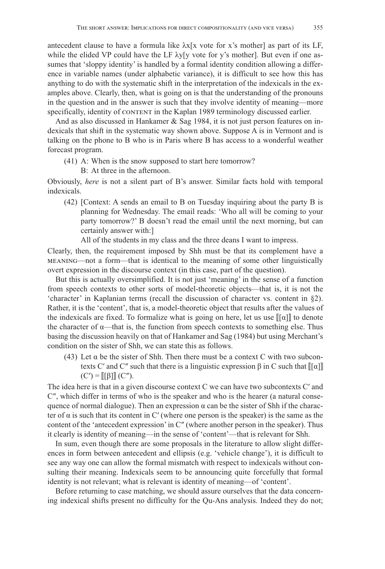antecedent clause to have a formula like  $\lambda x$ [x vote for x's mother] as part of its LF, while the elided VP could have the LF  $\lambda y$ [y vote for y's mother]. But even if one assumes that 'sloppy identity' is handled by a formal identity condition allowing a difference in variable names (under alphabetic variance), it is difficult to see how this has anything to do with the systematic shift in the interpretation of the indexicals in the examples above. Clearly, then, what is going on is that the understanding of the pronouns in the question and in the answer is such that they involve identity of meaning—more specifically, identity of CONTENT in the Kaplan 1989 terminology discussed earlier.

And as also discussed in Hankamer & Sag 1984, it is not just person features on indexicals that shift in the systematic way shown above. Suppose A is in Vermont and is talking on the phone to B who is in Paris where B has access to a wonderful weather forecast program.

- (41) A: When is the snow supposed to start here tomorrow?
	- B: At three in the afternoon.

Obviously, *here* is not a silent part of B's answer. Similar facts hold with temporal indexicals.

(42) [Context: A sends an email to B on Tuesday inquiring about the party B is planning for Wednesday. The email reads: 'Who all will be coming to your party tomorrow?' B doesn't read the email until the next morning, but can certainly answer with:]

All of the students in my class and the three deans I want to impress.

Clearly, then, the requirement imposed by Shh must be that its complement have a meaning—not a form—that is identical to the meaning of some other linguistically overt expression in the discourse context (in this case, part of the question).

But this is actually oversimplified. It is not just 'meaning' in the sense of a function from speech contexts to other sorts of model-theoretic objects—that is, it is not the 'character' in Kaplanian terms (recall the discussion of character vs. content in §2). Rather, it is the 'content', that is, a model-theoretic object that results after the values of the indexicals are fixed. To formalize what is going on here, let us use  $\llbracket \lbrack a \rbrack \rrbracket$  to denote the character of  $\alpha$ —that is, the function from speech contexts to something else. Thus basing the discussion heavily on that of Hankamer and Sag (1984) but using Merchant's condition on the sister of Shh, we can state this as follows.

(43) Let  $\alpha$  be the sister of Shh. Then there must be a context C with two subcontexts C' and C" such that there is a linguistic expression  $\beta$  in C such that  $\llbracket \lbrack \alpha \rbrack \rrbracket$  $(C') = [[\beta]](C'').$ 

The idea here is that in a given discourse context C we can have two subcontexts C′ and C″, which differ in terms of who is the speaker and who is the hearer (a natural consequence of normal dialogue). Then an expression  $\alpha$  can be the sister of Shh if the character of  $\alpha$  is such that its content in C' (where one person is the speaker) is the same as the content of the 'antecedent expression' in C" (where another person in the speaker). Thus it clearly is identity of meaning—in the sense of 'content'—that is relevant for Shh.

In sum, even though there are some proposals in the literature to allow slight differences in form between antecedent and ellipsis (e.g. 'vehicle change'), it is difficult to see any way one can allow the formal mismatch with respect to indexicals without consulting their meaning. Indexicals seem to be announcing quite forcefully that formal identity is not relevant; what is relevant is identity of meaning—of 'content'.

Before returning to case matching, we should assure ourselves that the data concerning indexical shifts present no difficulty for the Qu-Ans analysis. Indeed they do not;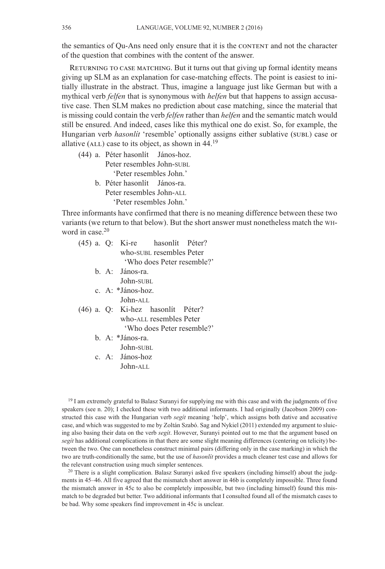RETURNING TO CASE MATCHING. But it turns out that giving up formal identity means giving up SLM as an explanation for case-matching effects. The point is easiest to initially illustrate in the abstract. Thus, imagine a language just like German but with a mythical verb *felfen* that is synonymous with *helfen* but that happens to assign accusative case. Then SLM makes no prediction about case matching, since the material that is missing could contain the verb *felfen* rather than *helfen* and the semantic match would still be ensured. And indeed, cases like this mythical one do exist. So, for example, the Hungarian verb *hasonlit* 'resemble' optionally assigns either sublative (SUBL) case or allative (ALL) case to its object, as shown in  $44.19$ 

(44) a. Péter hasonlít János-hoz. Peter resembles John-SUBL 'Peter resembles John.' b. Péter hasonlít János-ra. Peter resembles John-ALL 'Peter resembles John.'

Three informants have confirmed that there is no meaning difference between these two variants (we return to that below). But the short answer must nonetheless match the WHword in case. 20

|  | (45) a. Q: Ki-re hasonlit Péter? |                            |  |
|--|----------------------------------|----------------------------|--|
|  | who-SUBL resembles Peter         |                            |  |
|  |                                  | 'Who does Peter resemble?' |  |
|  |                                  |                            |  |

- b. A: János-ra. John-SUBL c. A: \*János-hoz.
- John-ALL
- (46) a. Q: Ki-hez hasonlít Péter? who-ALL resembles Peter 'Who does Peter resemble?'
	- b. A: \*János-ra. John-SUBL
	- c. A: János-hoz John-ALL

<sup>19</sup> I am extremely grateful to Balasz Suranyi for supplying me with this case and with the judgments of five speakers (see n. 20); I checked these with two additional informants. I had originally (Jacobson 2009) constructed this case with the Hungarian verb *segít* meaning 'help', which assigns both dative and accusative case, and which was suggested to me by Zoltán Szabó. Sag and Nykiel (2011) extended my argument to sluicing also basing their data on the verb *segít*. However, Suranyi pointed out to me that the argument based on *segít* has additional complications in that there are some slight meaning differences (centering on telicity) between the two. One can nonetheless construct minimal pairs (differing only in the case marking) in which the two are truth-conditionally the same, but the use of *hasonlít* provides a much cleaner test case and allows for the relevant construction using much simpler sentences.

<sup>20</sup> There is a slight complication. Balasz Suranyi asked five speakers (including himself) about the judgments in 45–46. All five agreed that the mismatch short answer in 46b is completely impossible. Three found the mismatch answer in 45c to also be completely impossible, but two (including himself) found this mismatch to be degraded but better. Two additional informants that I consulted found all of the mismatch cases to be bad. Why some speakers find improvement in 45c is unclear.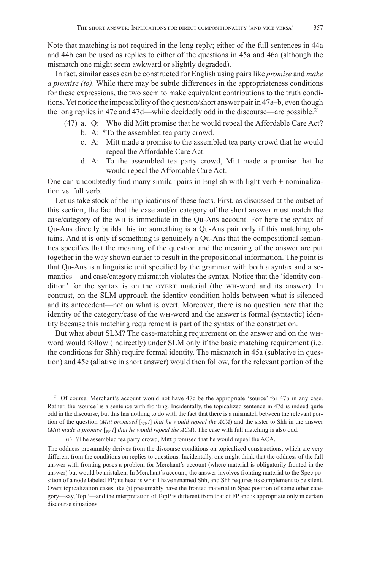Note that matching is not required in the long reply; either of the full sentences in 44a and 44b can be used as replies to either of the questions in 45a and 46a (although the mismatch one might seem awkward or slightly degraded).

In fact, similar cases can be constructed for English using pairs like *promise* and *make a promise (to)*. While there may be subtle differences in the appropriateness conditions for these expressions, the two seem to make equivalent contributions to the truth conditions.Yet notice the impossibility of the question/short answer pairin 47a–b, even though the long replies in 47c and 47d—while decidedly odd in the discourse—are possible. 21

- (47) a. Q: \*Who did Mitt promise that he would repeal the Affordable Care Act?
	- b. A: \*To the assembled tea party crowd.
	- c. A: Mitt made a promise to the assembled tea party crowd that he would repeal the Affordable Care Act.
	- d. A: To the assembled tea party crowd, Mitt made a promise that he would repeal the Affordable Care Act.

One can undoubtedly find many similar pairs in English with light verb + nominalization vs. full verb.

Let us take stock of the implications of these facts. First, as discussed at the outset of this section, the fact that the case and/or category of the short answer must match the case/category of the wh is immediate in the Qu-Ans account. For here the syntax of Qu-Ans directly builds this in: something is a Qu-Ans pair only if this matching obtains. And it is only if something is genuinely a Qu-Ans that the compositional semantics specifies that the meaning of the question and the meaning of the answer are put together in the way shown earlier to result in the propositional information. The point is that Qu-Ans is a linguistic unit specified by the grammar with both a syntax and a semantics—and case/category mismatch violates the syntax. Notice that the 'identity condition' for the syntax is on the overt material (the wh-word and its answer). In contrast, on the SLM approach the identity condition holds between what is silenced and its antecedent—not on what is overt. Moreover, there is no question here that the identity of the category/case of the wh-word and the answer is formal (syntactic) identity because this matching requirement is part of the syntax of the construction.

But what about SLM? The case-matching requirement on the answer and on the whword would follow (indirectly) under SLM only if the basic matching requirement (i.e. the conditions for Shh) require formal identity. The mismatch in 45a (sublative in question) and 45c (allative in short answer) would then follow, for the relevant portion of the

<sup>21</sup> Of course, Merchant's account would not have 47c be the appropriate 'source' for 47b in any case. Rather, the 'source' is a sentence with fronting. Incidentally, the topicalized sentence in 47d is indeed quite odd in the discourse, but this has nothing to do with the fact that there is a mismatch between the relevant portion of the question (*Mitt promised*  $[\n\pi P]$ *that he would repeal the ACA*) and the sister to Shh in the answer (*Mitt made a promise*  $\lbrack$ <sub>PP</sub> *t*] *that he would repeal the ACA*). The case with full matching is also odd.

i(i) ?The assembled tea party crowd, Mitt promised that he would repeal the ACA.

The oddness presumably derives from the discourse conditions on topicalized constructions, which are very different from the conditions on replies to questions. Incidentally, one might think that the oddness of the full answer with fronting poses a problem for Merchant's account (where material is obligatorily fronted in the answer) but would be mistaken. In Merchant's account, the answer involves fronting material to the Spec position of a node labeled FP; its head is what I have renamed Shh, and Shh requires its complement to be silent. Overt topicalization cases like (i) presumably have the fronted material in Spec position of some other category—say, TopP—and the interpretation of TopP is different from that of FP and is appropriate only in certain discourse situations.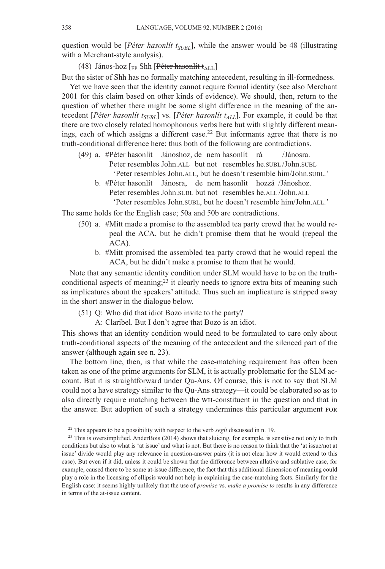question would be [*Péter hasonlít t<sub>SUBL</sub>*], while the answer would be 48 (illustrating with a Merchant-style analysis).

(48) János-hoz  $\lceil$ <sub>FP</sub> Shh  $\lceil$ <del>Péter hasonlít t<sub>ALL</sub></del>]

But the sister of Shh has no formally matching antecedent, resulting in ill-formedness.

Yet we have seen that the identity cannot require formal identity (see also Merchant 2001 for this claim based on other kinds of evidence). We should, then, return to the question of whether there might be some slight difference in the meaning of the antecedent [*Péter hasonlít t<sub>SUBL</sub>*] vs. [*Péter hasonlít t<sub>ALL</sub>*]. For example, it could be that there are two closely related homophonous verbs here but with slightly different meanings, each of which assigns a different case. <sup>22</sup> But informants agree that there is no truth-conditional difference here; thus both of the following are contradictions.

- (49) a. #Péter hasonlít Jánoshoz, de nem hasonlít rá /Jánosra. Peter resembles John.ALL but not resembles he.SUBL/John.SUBL 'Peter resembles John.ALL, but he doesn't resemble him/John.SUBL.'
	- b. #Péter hasonlít Jánosra, de nem hasonlít hozzá /Jánoshoz. Peter resembles John.SUBL but not resembles he.ALL /John.ALL 'Peter resembles John.SUBL, but he doesn't resemble him/John.ALL.'

The same holds for the English case; 50a and 50b are contradictions.

- (50) a. #Mitt made a promise to the assembled tea party crowd that he would repeal the ACA, but he didn't promise them that he would (repeal the ACA).
	- b. #Mitt promised the assembled tea party crowd that he would repeal the ACA, but he didn't make a promise to them that he would.

Note that any semantic identity condition under SLM would have to be on the truthconditional aspects of meaning; <sup>23</sup> it clearly needs to ignore extra bits of meaning such as implicatures about the speakers' attitude. Thus such an implicature is stripped away in the short answer in the dialogue below.

- (51) Q: Who did that idiot Bozo invite to the party?
	- A: Claribel. But I don't agree that Bozo is an idiot.

This shows that an identity condition would need to be formulated to care only about truth-conditional aspects of the meaning of the antecedent and the silenced part of the answer (although again see n. 23).

The bottom line, then, is that while the case-matching requirement has often been taken as one of the prime arguments for SLM, it is actually problematic for the SLM account. But it is straightforward under Qu-Ans. Of course, this is not to say that SLM could not a have strategy similar to the Qu-Ans strategy—it could be elaborated so as to also directly require matching between the wh-constituent in the question and that in the answer. But adoption of such a strategy undermines this particular argument for

<sup>22</sup> This appears to be a possibility with respect to the verb *segít* discussed in n. 19.

<sup>23</sup> This is oversimplified. AnderBois (2014) shows that sluicing, for example, is sensitive not only to truth conditions but also to what is 'at issue' and what is not. But there is no reason to think that the 'at issue/not at issue' divide would play any relevance in question-answer pairs (it is not clear how it would extend to this case). But even if it did, unless it could be shown that the difference between allative and sublative case, for example, caused there to be some at-issue difference, the fact that this additional dimension of meaning could play a role in the licensing of ellipsis would not help in explaining the case-matching facts. Similarly for the English case: it seems highly unlikely that the use of *promise* vs. *make a promise to* results in any difference in terms of the at-issue content.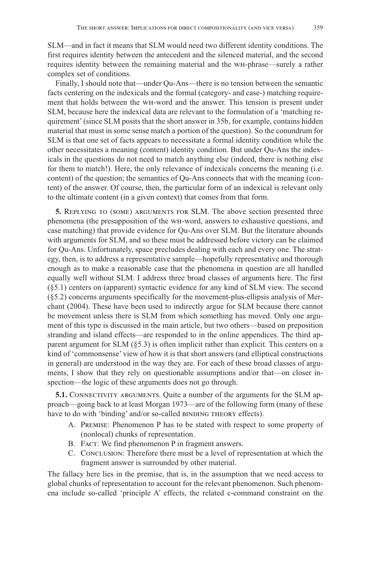SLM—and in fact it means that SLM would need two different identity conditions. The first requires identity between the antecedent and the silenced material, and the second requires identity between the remaining material and the wh-phrase—surely a rather complex set of conditions.

Finally, I should note that—under Qu-Ans—there is no tension between the semantic facts centering on the indexicals and the formal (category- and case-) matching requirement that holds between the wh-word and the answer. This tension is present under SLM, because here the indexical data are relevant to the formulation of a 'matching requirement'(since SLM posits that the short answer in 35b, for example, contains hidden material that must in some sense match a portion of the question). So the conundrum for SLM is that one set of facts appears to necessitate a formal identity condition while the other necessitates a meaning (content) identity condition. But under Qu-Ans the indexicals in the questions do not need to match anything else (indeed, there is nothing else for them to match!). Here, the only relevance of indexicals concerns the meaning (i.e. content) of the question; the semantics of Qu-Ans connects that with the meaning (content) of the answer. Of course, then, the particular form of an indexical is relevant only to the ultimate content (in a given context) that comes from that form.

**5.** Replying to (some) arguments for SLM. The above section presented three phenomena (the presupposition of the wh-word, answers to exhaustive questions, and case matching) that provide evidence for Qu-Ans over SLM. But the literature abounds with arguments for SLM, and so these must be addressed before victory can be claimed for Qu-Ans. Unfortunately, space precludes dealing with each and every one. The strategy, then, is to address a representative sample—hopefully representative and thorough enough as to make a reasonable case that the phenomena in question are all handled equally well without SLM. I address three broad classes of arguments here. The first (§5.1) centers on (apparent) syntactic evidence for any kind of SLM view. The second (§5.2) concerns arguments specifically for the movement-plus-ellipsis analysis of Merchant (2004). These have been used to indirectly argue for SLM because there cannot be movement unless there is SLM from which something has moved. Only one argument of this type is discussed in the main article, but two others—based on preposition stranding and island effects—are responded to in the online appendices. The third apparent argument for SLM (§5.3) is often implicit rather than explicit. This centers on a kind of 'commonsense' view of how it is that short answers (and elliptical constructions in general) are understood in the way they are. For each of these broad classes of arguments, I show that they rely on questionable assumptions and/or that—on closer inspection—the logic of these arguments does not go through.

**5.1.** CONNECTIVITY ARGUMENTS. Quite a number of the arguments for the SLM approach—going back to at least Morgan 1973—are of the following form (many of these have to do with 'binding' and/or so-called BINDING THEORY effects).

- A. Premise: Phenomenon P has to be stated with respect to some property of (nonlocal) chunks of representation.
- B. FACT: We find phenomenon P in fragment answers.
- C. Conclusion: Therefore there must be a level of representation at which the fragment answer is surrounded by other material.

The fallacy here lies in the premise, that is, in the assumption that we need access to global chunks of representation to account for the relevant phenomenon. Such phenomena include so-called 'principle A' effects, the related c-command constraint on the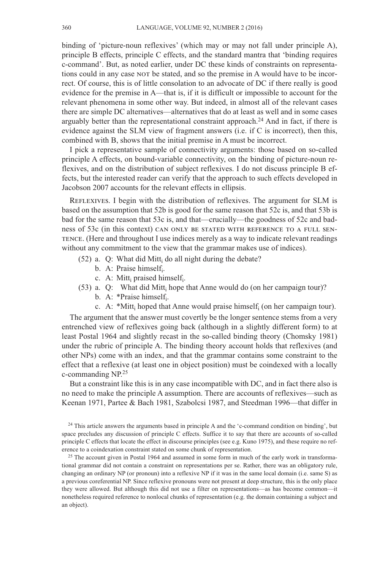binding of 'picture-noun reflexives' (which may or may not fall under principle A), principle B effects, principle C effects, and the standard mantra that 'binding requires c-command'. But, as noted earlier, under DC these kinds of constraints on representations could in any case not be stated, and so the premise in A would have to be incorrect. Of course, this is of little consolation to an advocate of DC if there really is good evidence for the premise in A—that is, if it is difficult or impossible to account for the relevant phenomena in some other way. But indeed, in almost all of the relevant cases there are simple DC alternatives—alternatives that do at least as well and in some cases arguably better than the representational constraint approach. <sup>24</sup> And in fact, if there is evidence against the SLM view of fragment answers (i.e. if C is incorrect), then this, combined with B, shows that the initial premise in A must be incorrect.

I pick a representative sample of connectivity arguments: those based on so-called principle A effects, on bound-variable connectivity, on the binding of picture-noun reflexives, and on the distribution of subject reflexives. I do not discuss principle B effects, but the interested reader can verify that the approach to such effects developed in Jacobson 2007 accounts for the relevant effects in ellipsis.

Reflexives. I begin with the distribution of reflexives. The argument for SLM is based on the assumption that 52b is good for the same reason that 52c is, and that 53b is bad for the same reason that 53c is, and that—crucially—the goodness of 52c and badness of 53c (in this context) can only be stated with reference to a full sentence. (Here and throughout I use indices merely as a way to indicate relevant readings without any commitment to the view that the grammar makes use of indices).

- $(52)$  a. Q: What did Mitt<sub>i</sub> do all night during the debate?
	- b. A: Praise himself<sub>i</sub>.
	- c. A: Mitt<sub>i</sub> praised himself<sub>i</sub>.
- (53) a. Q: What did Mitt<sub>i</sub> hope that Anne would do (on her campaign tour)?
	- b. A: \*Praise himself<sub>i</sub>.
	- c. A: \*Mitt<sub>i</sub> hoped that Anne would praise himself<sub>i</sub> (on her campaign tour).

The argument that the answer must covertly be the longer sentence stems from a very entrenched view of reflexives going back (although in a slightly different form) to at least Postal 1964 and slightly recast in the so-called binding theory (Chomsky 1981) under the rubric of principle A. The binding theory account holds that reflexives (and other NPs) come with an index, and that the grammar contains some constraint to the effect that a reflexive (at least one in object position) must be coindexed with a locally c-commanding NP. 25

But a constraint like this is in any case incompatible with DC, and in fact there also is no need to make the principle A assumption. There are accounts of reflexives—such as Keenan 1971, Partee & Bach 1981, Szabolcsi 1987, and Steedman 1996—that differ in

<sup>24</sup> This article answers the arguments based in principle A and the 'c-command condition on binding', but space precludes any discussion of principle C effects. Suffice it to say that there are accounts of so-called principle C effects that locate the effect in discourse principles (see e.g. Kuno 1975), and these require no reference to a coindexation constraint stated on some chunk of representation.

<sup>25</sup> The account given in Postal 1964 and assumed in some form in much of the early work in transformational grammar did not contain a constraint on representations per se. Rather, there was an obligatory rule, changing an ordinary NP (or pronoun) into a reflexive NP if it was in the same local domain (i.e. same S) as a previous coreferential NP. Since reflexive pronouns were not present at deep structure, this is the only place they were allowed. But although this did not use a filter on representations—as has become common—it nonetheless required reference to nonlocal chunks of representation (e.g. the domain containing a subject and an object).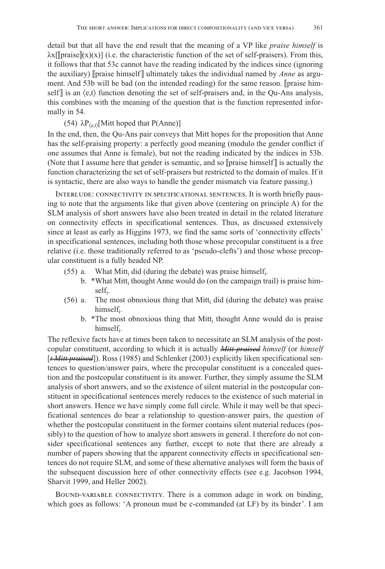detail but that all have the end result that the meaning of a VP like *praise himself* is  $\lambda x$ [[praise]](x)(x)] (i.e. the characteristic function of the set of self-praisers). From this, it follows that that 53c cannot have the reading indicated by the indices since (ignoring the auxiliary) [praise himself] ultimately takes the individual named by *Anne* as argument. And 53b will be bad (on the intended reading) for the same reason. [praise himself is an  $\langle e, t \rangle$  function denoting the set of self-praisers and, in the Qu-Ans analysis, this combines with the meaning of the question that is the function represented informally in 54.

## (54)  $\lambda P_{\langle e,t\rangle}$ [Mitt hoped that P(Anne)]

In the end, then, the Qu-Ans pair conveys that Mitt hopes for the proposition that Anne has the self-praising property: a perfectly good meaning (modulo the gender conflict if one assumes that Anne is female), but not the reading indicated by the indices in 53b. (Note that I assume here that gender is semantic, and so  $[praise himself]$  is actually the function characterizing the set of self-praisers but restricted to the domain of males. If it is syntactic, there are also ways to handle the gender mismatch via feature passing.)

Interlude: connectivity in specificational sentences. It is worth briefly pausing to note that the arguments like that given above (centering on principle A) for the SLM analysis of short answers have also been treated in detail in the related literature on connectivity effects in specificational sentences. Thus, as discussed extensively since at least as early as Higgins 1973, we find the same sorts of 'connectivity effects' in specificational sentences, including both those whose precopular constituent is a free relative (i.e. those traditionally referred to as 'pseudo-clefts') and those whose precopular constituent is a fully headed NP.

- (55) a. What Mitt<sub>i</sub> did (during the debate) was praise himself<sub>i</sub>.
	- b. \*What Mitt<sub>i</sub> thought Anne would do (on the campaign trail) is praise himself<sub>i</sub>.
- (56) a. The most obnoxious thing that Mitt<sub>i</sub> did (during the debate) was praise himself<sub>i</sub>.
	- b.  $*$ The most obnoxious thing that Mitt<sub>i</sub> thought Anne would do is praise himself<sub>i</sub>.

The reflexive facts have at times been taken to necessitate an SLM analysis of the postcopular constituent, according to which it is actually *Mitt praised himself* (or *himself* [*t Mitt praised*]). Ross (1985) and Schlenker (2003) explicitly liken specificational sentences to question/answer pairs, where the precopular constituent is a concealed question and the postcopular constituent is its answer. Further, they simply assume the SLM analysis of short answers, and so the existence of silent material in the postcopular constituent in specificational sentences merely reduces to the existence of such material in short answers. Hence we have simply come full circle. While it may well be that specificational sentences do bear a relationship to question-answer pairs, the question of whether the postcopular constituent in the former contains silent material reduces (possibly) to the question of how to analyze short answers in general. I therefore do not consider specificational sentences any further, except to note that there are already a number of papers showing that the apparent connectivity effects in specificational sentences do not require SLM, and some of these alternative analyses will form the basis of the subsequent discussion here of other connectivity effects (see e.g. Jacobson 1994, Sharvit 1999, and Heller 2002).

BOUND-VARIABLE CONNECTIVITY. There is a common adage in work on binding, which goes as follows: 'A pronoun must be c-commanded (at LF) by its binder'. I am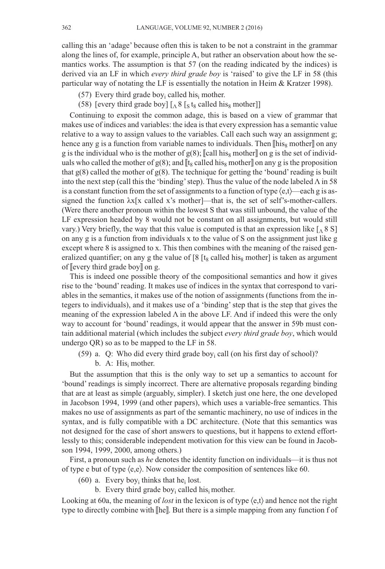calling this an 'adage' because often this is taken to be not a constraint in the grammar along the lines of, for example, principle A, but rather an observation about how the semantics works. The assumption is that 57 (on the reading indicated by the indices) is derived via an LF in which *every third grade boy* is 'raised' to give the LF in 58 (this particular way of notating the LF is essentially the notation in Heim  $\&$  Kratzer 1998).

- (57) Every third grade boy<sub>i</sub> called his<sub>i</sub> mother.
- (58) [every third grade boy]  $\left[ \Delta 8 \right]$  [<sub>S</sub> t<sub>8</sub> called his<sub>8</sub> mother]]

Continuing to exposit the common adage, this is based on a view of grammar that makes use of indices and variables: the idea isthat every expression has a semantic value relative to a way to assign values to the variables. Call each such way an assignment g; hence any g is a function from variable names to individuals. Then  $\llbracket \text{his}_8 \text{ mother} \rrbracket$  on any g is the individual who is the mother of  $g(8)$ ; [[call his<sub>8</sub> mother]] on g is the set of individuals who called the mother of g(8); and  $\llbracket$  t<sub>8</sub> called his<sub>8</sub> mother $\rrbracket$  on any g is the proposition that  $g(8)$  called the mother of  $g(8)$ . The technique for getting the 'bound' reading is built into the next step (call this the 'binding' step). Thus the value of the node labeled  $\Lambda$  in 58 is a constant function from the set of assignments to a function of type  $\langle e,t \rangle$ —each g is assigned the function λx[x called x's mother]—that is, the set of self's-mother-callers. (Were there another pronoun within the lowest S that was still unbound, the value of the LF expression headed by 8 would not be constant on all assignments, but would still vary.) Very briefly, the way that this value is computed is that an expression like  $\left[ \wedge 8 \text{ S} \right]$ on any g is a function from individuals x to the value of S on the assignment just like g except where 8 is assigned to x. This then combines with the meaning of the raised generalized quantifier; on any g the value of  $[8]$  [t<sub>8</sub> called his<sub>8</sub> mother] is taken as argument of [[every third grade boy]] on g.

This is indeed one possible theory of the compositional semantics and how it gives rise to the 'bound'reading. It makes use of indices in the syntax that correspond to variables in the semantics, it makes use of the notion of assignments (functions from the integers to individuals), and it makes use of a 'binding'step that is the step that gives the meaning of the expression labeled  $\Lambda$  in the above LF. And if indeed this were the only way to account for 'bound' readings, it would appear that the answer in 59b must contain additional material (which includes the subject *every third grade boy*, which would undergo QR) so as to be mapped to the LF in 58.

- (59) a. Q: Who did every third grade boy<sub>i</sub> call (on his first day of school)?
	- b. A: His<sub>i</sub> mother.

But the assumption that this is the only way to set up a semantics to account for 'bound' readings is simply incorrect. There are alternative proposals regarding binding that are at least as simple (arguably, simpler). I sketch just one here, the one developed in Jacobson 1994, 1999 (and other papers), which uses a variable-free semantics. This makes no use of assignments as part of the semantic machinery, no use of indices in the syntax, and is fully compatible with a DC architecture. (Note that this semantics was not designed for the case of short answers to questions, but it happens to extend effortlessly to this; considerable independent motivation for this view can be found in Jacobson 1994, 1999, 2000, among others.)

First, a pronoun such as *he* denotes the identity function on individuals—it is thus not of type e but of type 〈e,e〉. Now consider the composition of sentences like 60.

- (60) a. Every boy<sub>i</sub> thinks that he<sub>i</sub> lost.
	- b. Every third grade boy<sub>i</sub> called his<sub>i</sub> mother.

Looking at 60a, the meaning of *lost* in the lexicon is of type 〈e,t〉 and hence not the right type to directly combine with [[he]]. But there is a simple mapping from any function f of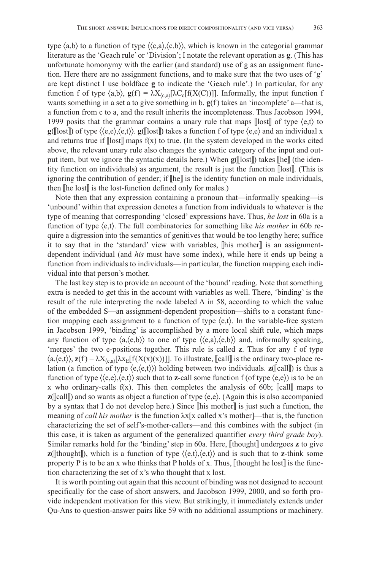type  $\langle a,b \rangle$  to a function of type  $\langle \langle c,a \rangle, \langle c,b \rangle \rangle$ , which is known in the categorial grammar literature as the 'Geach rule' or 'Division'; I notate the relevant operation as **g**. (This has unfortunate homonymy with the earlier (and standard) use of g as an assignment function. Here there are no assignment functions, and to make sure that the two uses of 'g' are kept distinct I use boldface **g** to indicate the 'Geach rule'.) In particular, for any function f of type  $\langle a,b \rangle$ ,  $g(f) = \lambda X_{\langle c,a \rangle}[\lambda C_c[f(X(C))]]$ . Informally, the input function f wants something in a set a to give something in b.  $g(f)$  takes an 'incomplete' a—that is, a function from c to a, and the result inherits the incompleteness. Thus Jacobson 1994, 1999 posits that the grammar contains a unary rule that maps  $\llbracket$ lost $\rrbracket$  of type  $\langle e, t \rangle$  to  $g(\llbracket \text{lost} \rrbracket)$  of type  $\langle \langle e,e \rangle, \langle e,t \rangle \rangle$ .  $g(\llbracket \text{lost} \rrbracket)$  takes a function f of type  $\langle e,e \rangle$  and an individual x and returns true if  $\llbracket \text{lost} \rrbracket$  maps f(x) to true. (In the system developed in the works cited above, the relevant unary rule also changes the syntactic category of the input and output item, but we ignore the syntactic details here.) When  $g(\text{float}])$  takes  $\text{[he]}$  (the identity function on individuals) as argument, the result is just the function [lost]. (This is ignoring the contribution of gender; if  $[\![he]\!]$  is the identity function on male individuals, then [he lost] is the lost-function defined only for males.)

Note then that any expression containing a pronoun that—informally speaking—is 'unbound' within that expression denotes a function from individuals to whatever is the type of meaning that corresponding 'closed' expressions have. Thus, *he lost* in 60a is a function of type 〈e,t〉. The full combinatorics for something like *his mother* in 60b require a digression into the semantics of genitives that would be too lengthy here; suffice it to say that in the 'standard' view with variables, [his mother] is an assignmentdependent individual (and *his* must have some index), while here it ends up being a function from individuals to individuals—in particular, the function mapping each individual into that person's mother.

The last key step is to provide an account of the 'bound'reading. Note that something extra is needed to get this in the account with variables as well. There, 'binding' is the result of the rule interpreting the node labeled  $\Lambda$  in 58, according to which the value of the embedded S—an assignment-dependent proposition—shifts to a constant function mapping each assignment to a function of type  $\langle e,t \rangle$ . In the variable-free system in Jacobson 1999, 'binding' is accomplished by a more local shift rule, which maps any function of type  $\langle a,(e,b) \rangle$  to one of type  $\langle \langle e,a \rangle, \langle e,b \rangle \rangle$  and, informally speaking, 'merges' the two e-positions together. This rule is called **z**. Thus for any f of type  $\langle a,\langle e,t\rangle\rangle$ ,  $\mathbf{z}(f) = \lambda X_{\langle e,a\rangle}[\lambda x_E[f(X(x)(x))]]$ . To illustrate, [[call]] is the ordinary two-place relation (a function of type  $\langle e, \langle e, t \rangle \rangle$ ) holding between two individuals.  $\mathbf{z}(\llbracket \text{call} \rrbracket)$  is thus a function of type  $\langle e,e \rangle, \langle e,t \rangle$  such that to **z**-call some function f (of type  $\langle e,e \rangle$ ) is to be an x who ordinary-calls  $f(x)$ . This then completes the analysis of 60b; [call] maps to **z**([[call]]) and so wants as object a function of type  $\langle$ e,e $\rangle$ . (Again this is also accompanied by a syntax that I do not develop here.) Since [[his mother]] is just such a function, the meaning of *call his mother* is the function λx[x called x's mother]—that is, the function characterizing the set of self's-mother-callers—and this combines with the subject (in this case, it is taken as argument of the generalized quantifier *every third grade boy*). Similar remarks hold for the 'binding' step in 60a. Here, [thought] undergoes **z** to give  $z([$ thought $]$ ), which is a function of type  $\langle e,t\rangle, \langle e,t\rangle$  and is such that to **z**-think some property P is to be an x who thinks that P holds of x. Thus, [[thought he lost]] is the function characterizing the set of x's who thought that x lost.

It is worth pointing out again that this account of binding was not designed to account specifically for the case of short answers, and Jacobson 1999, 2000, and so forth provide independent motivation for this view. But strikingly, it immediately extends under Qu-Ans to question-answer pairs like 59 with no additional assumptions or machinery.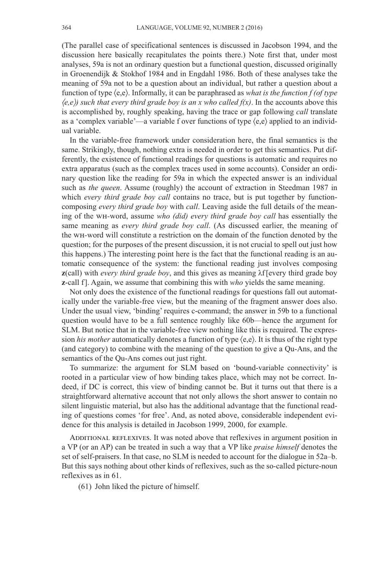(The parallel case of specificational sentences is discussed in Jacobson 1994, and the discussion here basically recapitulates the points there.) Note first that, under most analyses, 59a is not an ordinary question but a functional question, discussed originally in Groenendijk & Stokhof 1984 and in Engdahl 1986. Both of these analyses take the meaning of 59a not to be a question about an individual, but rather a question about a function of type 〈e,e〉. Informally, it can be paraphrased as *what is the function f (of type*  $\langle e, e \rangle$  such that every third grade boy is an x who called  $f(x)$ . In the accounts above this is accomplished by, roughly speaking, having the trace or gap following *call* translate as a 'complex variable'—a variable f over functions of type  $\langle e, e \rangle$  applied to an individual variable.

In the variable-free framework under consideration here, the final semantics is the same. Strikingly, though, nothing extra is needed in order to get this semantics. Put differently, the existence of functional readings for questions is automatic and requires no extra apparatus (such as the complex traces used in some accounts). Consider an ordinary question like the reading for 59a in which the expected answer is an individual such as *the queen*. Assume (roughly) the account of extraction in Steedman 1987 in which *every third grade boy call* contains no trace, but is put together by functioncomposing *every third grade boy* with *call*. Leaving aside the full details of the meaning of the wh*-*word, assume *who (did) every third grade boy call* has essentially the same meaning as *every third grade boy call*. (As discussed earlier, the meaning of the wh*-*word will constitute a restriction on the domain of the function denoted by the question; for the purposes of the present discussion, it is not crucial to spell out just how this happens.) The interesting point here is the fact that the functional reading is an automatic consequence of the system: the functional reading just involves composing **z**(call) with *every third grade boy*, and this gives as meaning λf[every third grade boy **z**-call f]. Again, we assume that combining this with *who* yields the same meaning.

Not only does the existence of the functional readings for questions fall out automatically under the variable-free view, but the meaning of the fragment answer does also. Under the usual view, 'binding' requires c-command; the answer in 59b to a functional question would have to be a full sentence roughly like 60b—hence the argument for SLM. But notice that in the variable-free view nothing like this is required. The expression *his mother* automatically denotes a function of type  $\langle e, e \rangle$ . It is thus of the right type (and category) to combine with the meaning of the question to give a Qu-Ans, and the semantics of the Qu-Ans comes out just right.

To summarize: the argument for SLM based on 'bound-variable connectivity' is rooted in a particular view of how binding takes place, which may not be correct. Indeed, if DC is correct, this view of binding cannot be. But it turns out that there is a straightforward alternative account that not only allows the short answer to contain no silent linguistic material, but also has the additional advantage that the functional reading of questions comes 'for free'. And, as noted above, considerable independent evidence for this analysis is detailed in Jacobson 1999, 2000, for example.

ADDITIONAL REFLEXIVES. It was noted above that reflexives in argument position in a VP (or an AP) can be treated in such a way that a VP like *praise himself* denotes the set of self-praisers. In that case, no SLM is needed to account for the dialogue in 52a–b. But this says nothing about other kinds of reflexives, such as the so-called picture-noun reflexives as in 61.

(61) John liked the picture of himself.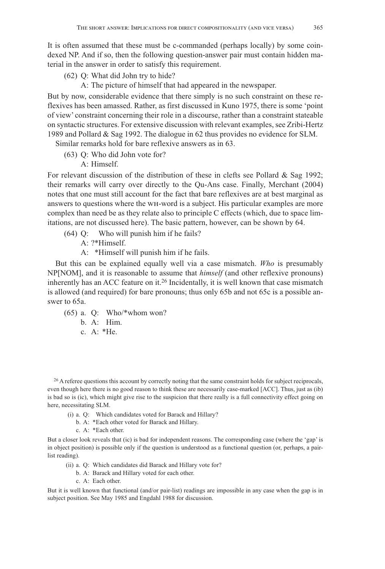It is often assumed that these must be c-commanded (perhaps locally) by some coindexed NP. And if so, then the following question-answer pair must contain hidden material in the answer in order to satisfy this requirement.

(62) Q: What did John try to hide?

A: The picture of himself that had appeared in the newspaper.

But by now, considerable evidence that there simply is no such constraint on these reflexives has been amassed. Rather, as first discussed in Kuno 1975, there is some 'point of view' constraint concerning their role in a discourse, rather than a constraint stateable on syntactic structures. For extensive discussion with relevant examples, see Zribi-Hertz 1989 and Pollard & Sag 1992. The dialogue in 62 thus provides no evidence for SLM.

Similar remarks hold for bare reflexive answers as in 63.

- (63) Q: Who did John vote for?
	- A: Himself.

For relevant discussion of the distribution of these in clefts see Pollard & Sag 1992; their remarks will carry over directly to the Qu-Ans case. Finally, Merchant (2004) notes that one must still account for the fact that bare reflexives are at best marginal as answers to questions where the wh-word is a subject. His particular examples are more complex than need be as they relate also to principle C effects (which, due to space limitations, are not discussed here). The basic pattern, however, can be shown by 64.

- $(64)$  Q: Who will punish him if he fails?
	- A: ?\*Himself.
	- A: \*Himself will punish him if he fails.

But this can be explained equally well via a case mismatch. *Who* is presumably NP[NOM], and it is reasonable to assume that *himself* (and other reflexive pronouns) inherently has an ACC feature on it. <sup>26</sup> Incidentally, it is well known that case mismatch is allowed (and required) for bare pronouns; thus only 65b and not 65c is a possible answer to 65a.

- $(65)$  a. Q: Who/\*whom won?
	- b. A: Him.
	- c. A: \*He.

<sup>26</sup> A referee questions this account by correctly noting that the same constraint holds for subject reciprocals, even though here there is no good reason to think these are necessarily case-marked [ACC]. Thus, just as (ib) is bad so is (ic), which might give rise to the suspicion that there really is a full connectivity effect going on here, necessitating SLM.

- (i) a. Q: Which candidates voted for Barack and Hillary?
	- b. A: \*Each other voted for Barack and Hillary.
	- c. A: \*Each other.

But a closer look reveals that (ic) is bad for independent reasons. The corresponding case (where the 'gap' is in object position) is possible only if the question is understood as a functional question (or, perhaps, a pairlist reading).

- i(ii) a. Q: Which candidates did Barack and Hillary vote for?
	- b. A: Barack and Hillary voted for each other.
	- c. A: Each other.

But it is well known that functional (and/or pair-list) readings are impossible in any case when the gap is in subject position. See May 1985 and Engdahl 1988 for discussion.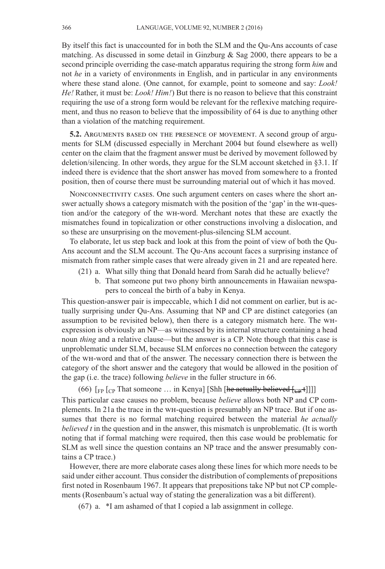By itself this fact is unaccounted for in both the SLM and the Qu-Ans accounts of case matching. As discussed in some detail in Ginzburg  $\&$  Sag 2000, there appears to be a second principle overriding the case-match apparatus requiring the strong form *him* and not *he* in a variety of environments in English, and in particular in any environments where these stand alone. (One cannot, for example, point to someone and say: *Look! He!* Rather, it must be: *Look! Him!*) But there is no reason to believe that this constraint requiring the use of a strong form would be relevant for the reflexive matching requirement, and thus no reason to believe that the impossibility of 64 is due to anything other than a violation of the matching requirement.

**5.2.** Arguments based on the presence of movement. A second group of arguments for SLM (discussed especially in Merchant 2004 but found elsewhere as well) center on the claim that the fragment answer must be derived by movement followed by deletion/silencing. In other words, they argue for the SLM account sketched in §3.1. If indeed there is evidence that the short answer has moved from somewhere to a fronted position, then of course there must be surrounding material out of which it has moved.

Nonconnectivity cases. One such argument centers on cases where the short answer actually shows a category mismatch with the position of the 'gap' in the WH-question and/or the category of the wh-word. Merchant notes that these are exactly the mismatches found in topicalization or other constructions involving a dislocation, and so these are unsurprising on the movement-plus-silencing SLM account.

To elaborate, let us step back and look at this from the point of view of both the Qu-Ans account and the SLM account. The Qu-Ans account faces a surprising instance of mismatch from rather simple cases that were already given in 21 and are repeated here.

- (21) a. What silly thing that Donald heard from Sarah did he actually believe?
	- b. That someone put two phony birth announcements in Hawaiian newspapers to conceal the birth of a baby in Kenya.

This question-answer pair is impeccable, which I did not comment on earlier, but is actually surprising under Qu-Ans. Assuming that NP and CP are distinct categories (an assumption to be revisited below), then there is a category mismatch here. The whexpression is obviously an NP—as witnessed by its internal structure containing a head noun *thing* and a relative clause—but the answer is a CP. Note though that this case is unproblematic under SLM, because SLM enforces no connection between the category of the wh-word and that of the answer. The necessary connection there is between the category of the short answer and the category that would be allowed in the position of the gap (i.e. the trace) following *believe* in the fuller structure in 66.

(66)  $\left[$ <sub>FP</sub>  $\left[$ <sub>CP</sub> That someone ... in Kenya] [Shh [<del>he actually believed  $\left[$ <sub>CP</sub>+</del>]]]] This particular case causes no problem, because *believe* allows both NP and CP complements. In 21a the trace in the wh-question is presumably an NP trace. But if one assumes that there is no formal matching required between the material *he actually believed t* in the question and in the answer, this mismatch is unproblematic. (It is worth noting that if formal matching were required, then this case would be problematic for SLM as well since the question contains an NP trace and the answer presumably contains a CP trace.)

However, there are more elaborate cases along these lines for which more needs to be said under either account. Thus consider the distribution of complements of prepositions first noted in Rosenbaum 1967. It appears that prepositions take NP but not CP complements (Rosenbaum's actual way of stating the generalization was a bit different).

(67) a. \*I am ashamed of that I copied a lab assignment in college.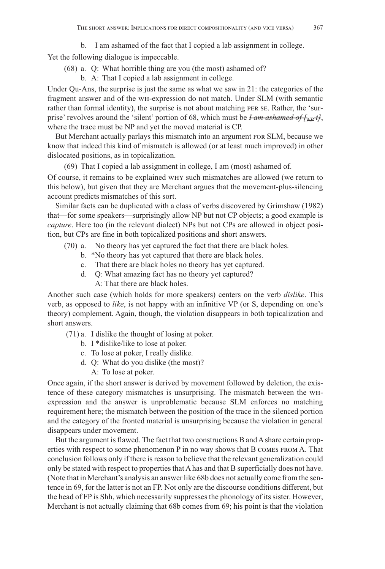b. I am ashamed of the fact that I copied a lab assignment in college.

Yet the following dialogue is impeccable.

- (68) a. Q: What horrible thing are you (the most) ashamed of?
	- b. A: That I copied a lab assignment in college.

Under Qu-Ans, the surprise is just the same as what we saw in 21: the categories of the fragment answer and of the wh-expression do not match. Under SLM (with semantic rather than formal identity), the surprise is not about matching per se. Rather, the 'surprise' revolves around the 'silent' portion of 68, which must be  $I$  *am ashamed of*  $\left\{I_{\text{NP}}t\right\}$ , where the trace must be NP and yet the moved material is CP.

But Merchant actually parlays this mismatch into an argument for SLM, because we know that indeed this kind of mismatch is allowed (or at least much improved) in other dislocated positions, as in topicalization.

(69) That I copied a lab assignment in college, I am (most) ashamed of.

Of course, it remains to be explained why such mismatches are allowed (we return to this below), but given that they are Merchant argues that the movement-plus-silencing account predicts mismatches of this sort.

Similar facts can be duplicated with a class of verbs discovered by Grimshaw (1982) that—for some speakers—surprisingly allow NP but not CP objects; a good example is *capture*. Here too (in the relevant dialect) NPs but not CPs are allowed in object position, but CPs are fine in both topicalized positions and short answers.

- (70) a. No theory has yet captured the fact that there are black holes.
	- b. \*No theory has yet captured that there are black holes.
	- c. That there are black holes no theory has yet captured.
	- d. Q: What amazing fact has no theory yet captured?
		- A: That there are black holes.

Another such case (which holds for more speakers) centers on the verb *dislike*. This verb, as opposed to *like*, is not happy with an infinitive VP (or S, depending on one's theory) complement. Again, though, the violation disappears in both topicalization and short answers.

- (71) a. I dislike the thought of losing at poker.
	- b. I \*dislike/like to lose at poker.
	- c. To lose at poker, I really dislike.
	- d. Q: What do you dislike (the most)?
		- A: To lose at poker.

Once again, if the short answer is derived by movement followed by deletion, the existence of these category mismatches is unsurprising. The mismatch between the whexpression and the answer is unproblematic because SLM enforces no matching requirement here; the mismatch between the position of the trace in the silenced portion and the category of the fronted material is unsurprising because the violation in general disappears under movement.

But the argument is flawed. The fact that two constructions B and A share certain properties with respect to some phenomenon P in no way shows that B comes from A. That conclusion follows only if there is reason to believe that the relevant generalization could only be stated with respect to properties that A has and that B superficially does not have. (Note that in Merchant's analysis an answer like 68b does not actually come from the sentence in 69, for the latter is not an FP. Not only are the discourse conditions different, but the head of FP is Shh, which necessarily suppresses the phonology of its sister. However, Merchant is not actually claiming that 68b comes from 69; his point is that the violation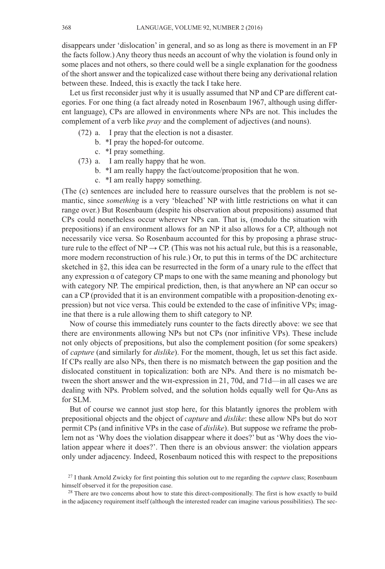disappears under 'dislocation' in general, and so as long as there is movement in an FP the facts follow.) Any theory thus needs an account of why the violation is found only in some places and not others, so there could well be a single explanation for the goodness of the short answer and the topicalized case without there being any derivational relation between these. Indeed, this is exactly the tack I take here.

Let us first reconsider just why it is usually assumed that NP and CP are different categories. For one thing (a fact already noted in Rosenbaum 1967, although using different language), CPs are allowed in environments where NPs are not. This includes the complement of a verb like *pray* and the complement of adjectives (and nouns).

- $(72)$  a. I pray that the election is not a disaster.
	- b. \*I pray the hoped-for outcome.
	- c. \*I pray something.
- $(73)$  a. I am really happy that he won.
	- b. \*I am really happy the fact/outcome/proposition that he won.
	- c. \*I am really happy something.

(The (c) sentences are included here to reassure ourselves that the problem is not semantic, since *something* is a very 'bleached' NP with little restrictions on what it can range over.) But Rosenbaum (despite his observation about prepositions) assumed that CPs could nonetheless occur wherever NPs can. That is, (modulo the situation with prepositions) if an environment allows for an NP it also allows for a CP, although not necessarily vice versa. So Rosenbaum accounted for this by proposing a phrase structure rule to the effect of NP  $\rightarrow$  CP. (This was not his actual rule, but this is a reasonable, more modern reconstruction of his rule.) Or, to put this in terms of the DC architecture sketched in §2, this idea can be resurrected in the form of a unary rule to the effect that any expression  $\alpha$  of category CP maps to one with the same meaning and phonology but with category NP. The empirical prediction, then, is that anywhere an NP can occur so can a CP (provided that it is an environment compatible with a proposition-denoting expression) but not vice versa. This could be extended to the case of infinitive VPs; imagine that there is a rule allowing them to shift category to NP.

Now of course this immediately runs counter to the facts directly above: we see that there are environments allowing NPs but not CPs (nor infinitive VPs). These include not only objects of prepositions, but also the complement position (for some speakers) of *capture* (and similarly for *dislike*). For the moment, though, let us set this fact aside. If CPs really are also NPs, then there is no mismatch between the gap position and the dislocated constituent in topicalization: both are NPs. And there is no mismatch between the short answer and the wh-expression in 21, 70d, and 71d—in all cases we are dealing with NPs. Problem solved, and the solution holds equally well for Qu-Ans as for SLM.

But of course we cannot just stop here, for this blatantly ignores the problem with prepositional objects and the object of *capture* and *dislike*: these allow NPs but do not permit CPs (and infinitive VPs in the case of *dislike*). But suppose we reframe the problem not as 'Why does the violation disappear where it does?' but as 'Why does the violation appear where it does?'. Then there is an obvious answer: the violation appears only under adjacency. Indeed, Rosenbaum noticed this with respect to the prepositions

<sup>27</sup> I thank Arnold Zwicky for first pointing this solution out to me regarding the *capture* class; Rosenbaum himself observed it for the preposition case.

<sup>&</sup>lt;sup>28</sup> There are two concerns about how to state this direct-compositionally. The first is how exactly to build in the adjacency requirement itself (although the interested reader can imagine various possibilities). The sec-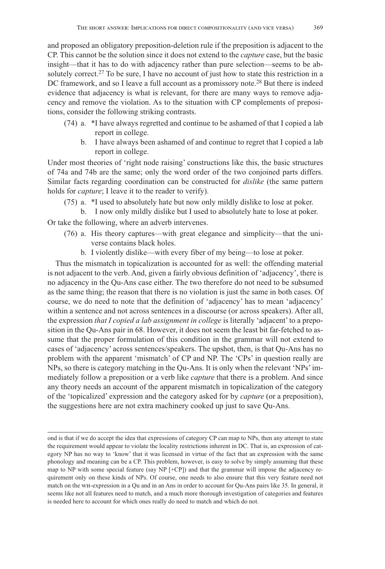and proposed an obligatory preposition-deletion rule if the preposition is adjacent to the CP. This cannot be the solution since it does not extend to the *capture* case, but the basic insight—that it has to do with adjacency rather than pure selection—seems to be absolutely correct.<sup>27</sup> To be sure, I have no account of just how to state this restriction in a DC framework, and so I leave a full account as a promissory note.<sup>28</sup> But there is indeed evidence that adjacency is what is relevant, for there are many ways to remove adjacency and remove the violation. As to the situation with CP complements of prepositions, consider the following striking contrasts.

- (74) a. \*I have always regretted and continue to be ashamed of that I copied a lab report in college.
	- b. I have always been ashamed of and continue to regret that I copied a lab report in college.

Under most theories of 'right node raising' constructions like this, the basic structures of 74a and 74b are the same; only the word order of the two conjoined parts differs. Similar facts regarding coordination can be constructed for *dislike* (the same pattern holds for *capture*; I leave it to the reader to verify).

(75) a. \*I used to absolutely hate but now only mildly dislike to lose at poker.

b. I now only mildly dislike but I used to absolutely hate to lose at poker.

Or take the following, where an adverb intervenes.

- (76) a. His theory captures—with great elegance and simplicity—that the universe contains black holes.
	- b. I violently dislike—with every fiber of my being—to lose at poker.

Thus the mismatch in topicalization is accounted for as well: the offending material is not adjacent to the verb. And, given a fairly obvious definition of 'adjacency', there is no adjacency in the Qu-Ans case either. The two therefore do not need to be subsumed as the same thing; the reason that there is no violation is just the same in both cases. Of course, we do need to note that the definition of 'adjacency' has to mean 'adjacency' within a sentence and not across sentences in a discourse (or across speakers). After all, the expression *that I copied a lab assignment in college* is literally 'adjacent'to a preposition in the Qu-Ans pair in 68. However, it does not seem the least bit far-fetched to assume that the proper formulation of this condition in the grammar will not extend to cases of 'adjacency' across sentences/speakers. The upshot, then, is that Qu-Ans has no problem with the apparent 'mismatch' of CP and NP. The 'CPs' in question really are NPs, so there is category matching in the Qu-Ans. It is only when the relevant 'NPs'immediately follow a preposition or a verb like *capture* that there is a problem. And since any theory needs an account of the apparent mismatch in topicalization of the category of the 'topicalized' expression and the category asked for by *capture* (or a preposition), the suggestions here are not extra machinery cooked up just to save Qu-Ans.

ond is that if we do accept the idea that expressions of category CP can map to NPs, then any attempt to state the requirement would appear to violate the locality restrictions inherent in DC. That is, an expression of category NP has no way to 'know' that it was licensed in virtue of the fact that an expression with the same phonology and meaning can be a CP. This problem, however, is easy to solve by simply assuming that these map to NP with some special feature (say NP [+CP]) and that the grammar will impose the adjacency requirement only on these kinds of NPs. Of course, one needs to also ensure that this very feature need not match on the wh*-*expression in a Qu and in an Ans in order to account for Qu-Ans pairs like 35. In general, it seems like not all features need to match, and a much more thorough investigation of categories and features is needed here to account for which ones really do need to match and which do not.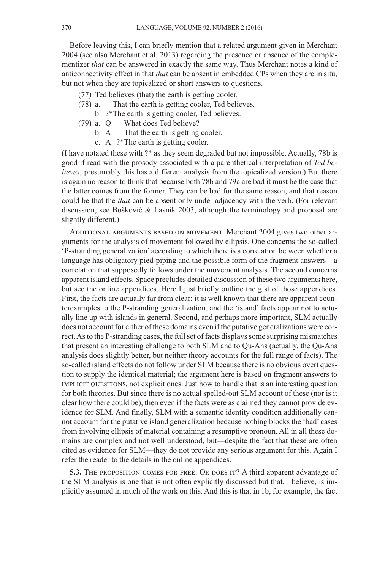Before leaving this, I can briefly mention that a related argument given in Merchant 2004 (see also Merchant et al. 2013) regarding the presence or absence of the complementizer *that* can be answered in exactly the same way. Thus Merchant notes a kind of anticonnectivity effect in that *that* can be absent in embedded CPs when they are in situ, but not when they are topicalized or short answers to questions.

- (77) Ted believes (that) the earth is getting cooler.
- (78) a. That the earth is getting cooler, Ted believes.
	- b. ?\*The earth is getting cooler, Ted believes.
- $(79)$  a. O: What does Ted believe?
	- b. A: That the earth is getting cooler.
	- c. A: ?\*The earth is getting cooler.

(I have notated these with ?\* as they seem degraded but not impossible. Actually, 78b is good if read with the prosody associated with a parenthetical interpretation of *Ted believes*; presumably this has a different analysis from the topicalized version.) But there is again no reason to think that because both 78b and 79c are bad it must be the case that the latter comes from the former. They can be bad for the same reason, and that reason could be that the *that* can be absent only under adjacency with the verb. (For relevant discussion, see Bošković & Lasnik 2003, although the terminology and proposal are slightly different.)

ADDITIONAL ARGUMENTS BASED ON MOVEMENT. Merchant 2004 gives two other arguments for the analysis of movement followed by ellipsis. One concerns the so-called 'P-stranding generalization' according to which there is a correlation between whether a language has obligatory pied-piping and the possible form of the fragment answers—a correlation that supposedly follows under the movement analysis. The second concerns apparent island effects. Space precludes detailed discussion of these two arguments here, but see the online appendices. Here I just briefly outline the gist of those appendices. First, the facts are actually far from clear; it is well known that there are apparent counterexamples to the P-stranding generalization, and the 'island' facts appear not to actually line up with islands in general. Second, and perhaps more important, SLM actually does not account for either of these domains even if the putative generalizations were correct. As to the P-stranding cases, the full set of facts displays some surprising mismatches that present an interesting challenge to both SLM and to Qu-Ans (actually, the Qu-Ans analysis does slightly better, but neither theory accounts for the full range of facts). The so-called island effects do not follow under SLM because there is no obvious overt question to supply the identical material; the argument here is based on fragment answers to implicit questions, not explicit ones. Just how to handle that is an interesting question for both theories. But since there is no actual spelled-out SLM account of these (nor is it clear how there could be), then even if the facts were as claimed they cannot provide evidence for SLM. And finally, SLM with a semantic identity condition additionally cannot account for the putative island generalization because nothing blocks the 'bad' cases from involving ellipsis of material containing a resumptive pronoun. All in all these domains are complex and not well understood, but—despite the fact that these are often cited as evidence for SLM—they do not provide any serious argument for this. Again I refer the reader to the details in the online appendices.

**5.3.** THE PROPOSITION COMES FOR FREE. OR DOES IT? A third apparent advantage of the SLM analysis is one that is not often explicitly discussed but that, I believe, is implicitly assumed in much of the work on this. And this is that in 1b, for example, the fact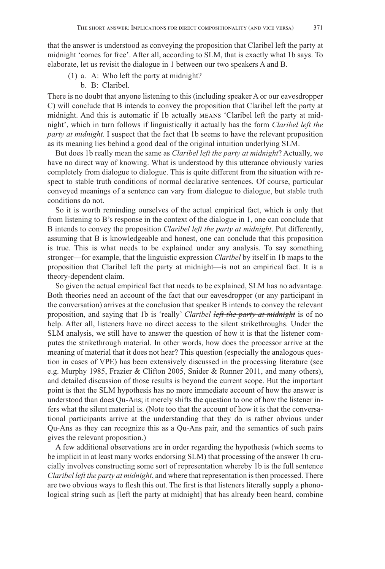that the answer is understood as conveying the proposition that Claribel left the party at midnight 'comes for free'. After all, according to SLM, that is exactly what 1b says. To elaborate, let us revisit the dialogue in 1 between our two speakers A and B.

- (1) a. A: Who left the party at midnight?
	- b. B: Claribel.

There is no doubt that anyone listening to this (including speaker A or our eavesdropper C) will conclude that B intends to convey the proposition that Claribel left the party at midnight. And this is automatic if 1b actually means 'Claribel left the party at midnight', which in turn follows if linguistically it actually has the form *Claribel left the party at midnight*. I suspect that the fact that 1b seems to have the relevant proposition as its meaning lies behind a good deal of the original intuition underlying SLM.

But does 1b really mean the same as *Claribel left the party at midnight*? Actually, we have no direct way of knowing. What is understood by this utterance obviously varies completely from dialogue to dialogue. This is quite different from the situation with respect to stable truth conditions of normal declarative sentences. Of course, particular conveyed meanings of a sentence can vary from dialogue to dialogue, but stable truth conditions do not.

So it is worth reminding ourselves of the actual empirical fact, which is only that from listening to B's response in the context of the dialogue in 1, one can conclude that B intends to convey the proposition *Claribel left the party at midnight*. Put differently, assuming that B is knowledgeable and honest, one can conclude that this proposition is true. This is what needs to be explained under any analysis. To say something stronger—for example, that the linguistic expression *Claribel* by itself in 1b maps to the proposition that Claribel left the party at midnight—is not an empirical fact. It is a theory-dependent claim.

So given the actual empirical fact that needs to be explained, SLM has no advantage. Both theories need an account of the fact that our eavesdropper (or any participant in the conversation) arrives at the conclusion that speaker B intends to convey the relevant proposition, and saying that 1b is 'really' *Claribel left the party at midnight* is of no help. After all, listeners have no direct access to the silent strikethroughs. Under the SLM analysis, we still have to answer the question of how it is that the listener computes the strikethrough material. In other words, how does the processor arrive at the meaning of material that it does not hear? This question (especially the analogous question in cases of VPE) has been extensively discussed in the processing literature (see e.g. Murphy 1985, Frazier & Clifton 2005, Snider & Runner 2011, and many others), and detailed discussion of those results is beyond the current scope. But the important point is that the SLM hypothesis has no more immediate account of how the answer is understood than does Qu-Ans; it merely shifts the question to one of how the listener infers what the silent material is. (Note too that the account of how it is that the conversational participants arrive at the understanding that they do is rather obvious under Qu-Ans as they can recognize this as a Qu-Ans pair, and the semantics of such pairs gives the relevant proposition.)

A few additional observations are in order regarding the hypothesis (which seems to be implicit in at least many works endorsing SLM) that processing of the answer 1b crucially involves constructing some sort of representation whereby 1b is the full sentence *Claribel left the party at midnight*, and where that representation isthen processed. There are two obvious ways to flesh this out. The first is that listeners literally supply a phonological string such as [left the party at midnight] that has already been heard, combine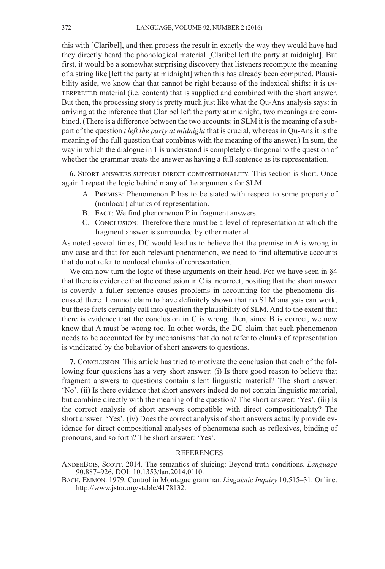this with [Claribel], and then process the result in exactly the way they would have had they directly heard the phonological material [Claribel left the party at midnight]. But first, it would be a somewhat surprising discovery that listeners recompute the meaning of a string like [left the party at midnight] when this has already been computed. Plausibility aside, we know that that cannot be right because of the indexical shifts: it is in-TERPRETED material (i.e. content) that is supplied and combined with the short answer. But then, the processing story is pretty much just like what the Qu-Ans analysis says: in arriving at the inference that Claribel left the party at midnight, two meanings are combined. (There is a difference between the two accounts: in SLM it isthe meaning of a subpart of the question *t left the party at midnight* that is crucial, whereas in Qu-Ans it is the meaning of the full question that combines with the meaning of the answer.) In sum, the way in which the dialogue in 1 is understood is completely orthogonal to the question of whether the grammar treats the answer as having a full sentence as its representation.

**6.** Short answers support direct compositionality. This section is short. Once again I repeat the logic behind many of the arguments for SLM.

- A. Premise: Phenomenon P has to be stated with respect to some property of (nonlocal) chunks of representation.
- B. FACT: We find phenomenon P in fragment answers.
- C. Conclusion: Therefore there must be a level of representation at which the fragment answer is surrounded by other material.

As noted several times, DC would lead us to believe that the premise in A is wrong in any case and that for each relevant phenomenon, we need to find alternative accounts that do not refer to nonlocal chunks of representation.

We can now turn the logic of these arguments on their head. For we have seen in §4 that there is evidence that the conclusion in C is incorrect; positing that the short answer is covertly a fuller sentence causes problems in accounting for the phenomena discussed there. I cannot claim to have definitely shown that no SLM analysis can work, but these facts certainly call into question the plausibility of SLM. And to the extent that there is evidence that the conclusion in C is wrong, then, since B is correct, we now know that A must be wrong too. In other words, the DC claim that each phenomenon needs to be accounted for by mechanisms that do not refer to chunks of representation is vindicated by the behavior of short answers to questions.

**7.** Conclusion. This article has tried to motivate the conclusion that each of the following four questions has a very short answer: (i) Is there good reason to believe that fragment answers to questions contain silent linguistic material? The short answer: 'No'. (ii) Is there evidence that short answers indeed do not contain linguistic material, but combine directly with the meaning of the question? The short answer: 'Yes'. (iii) Is the correct analysis of short answers compatible with direct compositionality? The short answer: 'Yes'. (iv) Does the correct analysis of short answers actually provide evidence for direct compositional analyses of phenomena such as reflexives, binding of pronouns, and so forth? The short answer: 'Yes'.

### REFERENCES

ANDERBOIS, SCOTT. 2014. The semantics of sluicing: Beyond truth conditions. *Language* 90.887–926. DOI: [10.1353/lan.2014.0110.](http://dx.doi.org/10.1353/lan.2014.0110)

BACH, EMMON. 1979. Control in Montague grammar. *Linguistic Inquiry* 10.515–31. Online: http://www.jstor.org/stable/4178132.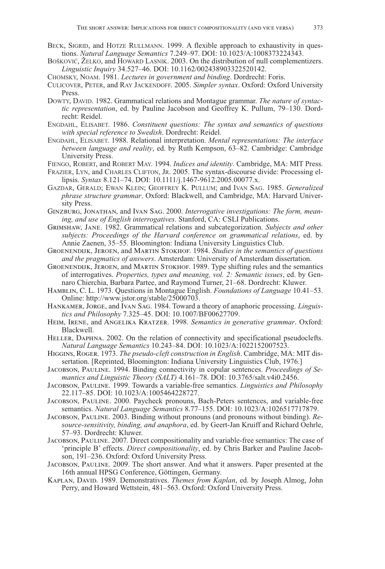- BECK, SIGRID, and HOTZE RULLMANN. 1999. A flexible approach to exhaustivity in questions. *Natural Language Semantics* 7.249–97. DOI: [10.1023/A:1008373224343.](http://dx.doi.org/10.1023/A:1008373224343)
- BOŠKOVIĆ, ŽELKO, and HOWARD LASNIK. 2003. On the distribution of null complementizers. *Linguistic Inquiry* 34.527–46. DOI: [10.1162/002438903322520142.](http://dx.doi.org/10.1162/002438903322520142)
- CHOMSKY, NOAM. 1981. *Lectures in government and binding*. Dordrecht: Foris.
- CULICOVER, PETER, and RAY JACKENDOFF. 2005. *Simpler syntax*. Oxford: Oxford University Press.
- DOWTY, DAVID. 1982. Grammatical relations and Montague grammar. *The nature of syntactic representation*, ed. by Pauline Jacobson and Geoffrey K. Pullum, 79–130. Dordrecht: Reidel.
- ENGDAHL, ELISABET. 1986. *Constituent questions: The syntax and semantics of questions with special reference to Swedish*. Dordrecht: Reidel.
- ENGDAHL, ELISABET. 1988. Relational interpretation. *Mental representations: The interface between language and reality*, ed. by Ruth Kempson, 63–82. Cambridge: Cambridge University Press.
- FIENGO, ROBERT, and ROBERT MAY. 1994. *Indices and identity*. Cambridge, MA: MIT Press.
- FRAZIER, LYN, and CHARLES CLIFTON, JR. 2005. The syntax-discourse divide: Processing ellipsis. *Syntax* 8.121–74. DOI: [10.1111/j.1467-9612.2005.00077.x.](http://dx.doi.org/10.1111/j.1467-9612.2005.00077.x)
- GAZDAR, GERALD; EWAN KLEIN; GEOFFREY K. PULLUM; and IVAN SAG. 1985. *Generalized phrase structure grammar*. Oxford: Blackwell, and Cambridge, MA: Harvard University Press.
- Ginzburg, Jonathan, and Ivan Sag. 2000. *Interrogative investigations: The form, meaning, and use of English interrogatives*. Stanford, CA: CSLI Publications.
- Grimshaw, Jane. 1982. Grammatical relations and subcategorization. *Subjects and other subjects: Proceedings of the Harvard conference on grammatical relations*, ed. by Annie Zaenen, 35–55. Bloomington: Indiana University Linguistics Club.
- Groenendijk, Jeroen, and Martin Stokhof. 1984. *Studies in the semantics of questions and the pragmatics of answers*. Amsterdam: University of Amsterdam dissertation.
- Groenendijk, Jeroen, and Martin Stokhof. 1989. Type shifting rules and the semantics of interrogatives. *Properties, types and meaning, vol. 2: Semantic issues*, ed. by Gennaro Chierchia, Barbara Partee, and Raymond Turner, 21–68. Dordrecht: Kluwer.
- Hamblin, C. L. 1973. Questions in Montague English. *Foundations of Language* 10.41–53. Online: http://www.jstor.org/stable/25000703.
- Hankamer, Jorge, and Ivan Sag. 1984. Toward a theory of anaphoric processing. *Linguistics and Philosophy* 7.325–45. DOI: [10.1007/BF00627709.](http://dx.doi.org/10.1007/BF00627709)
- Heim, Irene, and Angelika Kratzer. 1998. *Semantics in generative grammar*. Oxford: Blackwell.
- HELLER, DAPHNA. 2002. On the relation of connectivity and specificational pseudoclefts. *Natural Language Semantics* 10.243–84. DOI: [10.1023/A:1022152007523.](http://dx.doi.org/10.1023/A:1022152007523)
- Higgins, Roger. 1973. *The pseudo-cleft construction in English*. Cambridge, MA: MIT dissertation. [Reprinted, Bloomington: Indiana University Linguistics Club, 1976.]
- Jacobson, Pauline. 1994. Binding connectivity in copular sentences. *Proceedings of Semantics and Linguistic Theory (SALT)* 4.161–78. DOI: [10.3765/salt.v4i0.2456.](http://dx.doi.org/10.3765/salt.v4i0.2456)
- Jacobson, Pauline. 1999. Towards a variable-free semantics. *Linguistics and Philosophy* 22.117–85. DOI: [10.1023/A:1005464228727.](http://dx.doi.org/10.1023/A:1005464228727)
- Jacobson, Pauline. 2000. Paycheck pronouns, Bach-Peters sentences, and variable-free semantics. *Natural Language Semantics* 8.77–155. DOI: [10.1023/A:1026517717879.](http://dx.doi.org/10.1023/A:1026517717879)
- Jacobson, Pauline. 2003. Binding without pronouns (and pronouns without binding). *Resource-sensitivity, binding, and anaphora*, ed. by Geert-Jan Kruiff and Richard Oehrle, 57–93. Dordrecht: Kluwer.
- Jacobson, Pauline. 2007. Direct compositionality and variable-free semantics: The case of 'principle B' effects. *Direct compositionality*, ed. by Chris Barker and Pauline Jacobson, 191–236. Oxford: Oxford University Press.
- Jacobson, Pauline. 2009. The short answer. And what it answers. Paper presented at the 16th annual HPSG Conference, Göttingen, Germany.
- KAPLAN, DAVID. 1989. Demonstratives. *Themes from Kaplan*, ed. by Joseph Almog, John Perry, and Howard Wettstein, 481–563. Oxford: Oxford University Press.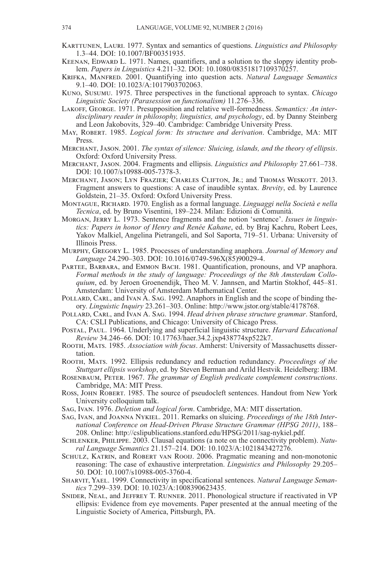- Karttunen, Lauri. 1977. Syntax and semantics of questions. *Linguistics and Philosophy* 1.3–44. DOI: [10.1007/BF00351935.](http://dx.doi.org/10.1007/BF00351935)
- KEENAN, EDWARD L. 1971. Names, quantifiers, and a solution to the sloppy identity problem. *Papers in Linguistics* 4.211–32. DOI: [10.1080/08351817109370257.](http://dx.doi.org/10.1080/08351817109370257)
- Krifka, Manfred. 2001. Quantifying into question acts. *Natural Language Semantics* 9.1–40. DOI: [10.1023/A:1017903702063.](http://dx.doi.org/10.1023/A:1017903702063)
- Kuno, Susumu. 1975. Three perspectives in the functional approach to syntax. *Chicago Linguistic Society (Parasession on functionalism)* 11.276–336.
- Lakoff, George. 1971. Presupposition and relative well-formedness. *Semantics: An interdisciplinary reader in philosophy, linguistics, and psychology*, ed. by Danny Steinberg and Leon Jakobovits, 329–40. Cambridge: Cambridge University Press.
- May, Robert. 1985. *Logical form: Its structure and derivation*. Cambridge, MA: MIT Press.
- Merchant, Jason. 2001. *The syntax of silence: Sluicing, islands, and the theory of ellipsis*. Oxford: Oxford University Press.
- Merchant, Jason. 2004. Fragments and ellipsis. *Linguistics and Philosophy* 27.661–738. DOI: [10.1007/s10988-005-7378-3.](http://dx.doi.org/10.1007/s10988-005-7378-3)
- Merchant, Jason; Lyn Frazier; Charles Clifton, Jr.; and Thomas Weskott. 2013. Fragment answers to questions: A case of inaudible syntax. *Brevity*, ed. by Laurence Goldstein, 21–35. Oxford: Oxford University Press.
- Montague, Richard. 1970. English as a formal language. *Linguaggi nella Società e nella Tecnica*, ed. by Bruno Visentini, 189–224. Milan: Edizioni di Comunità.
- Morgan, Jerry L. 1973. Sentence fragments and the notion 'sentence'. *Issues in linguistics: Papers in honor of Henry and Renée Kahane*, ed. by Braj Kachru, Robert Lees, Yakov Malkiel, Angelina Pietrangeli, and Sol Saporta, 719–51. Urbana: University of Illinois Press.
- Murphy, Gregory L. 1985. Processes of understanding anaphora. *Journal of Memory and Language* 24.290–303. DOI: [10.1016/0749-596X\(85\)90029-4.](http://dx.doi.org/10.1016/0749-596X(85)90029-4)
- Partee, Barbara, and Emmon Bach. 1981. Quantification, pronouns, and VP anaphora. *Formal methods in the study of language: Proceedings of the 8th Amsterdam Colloquium*, ed. by Jeroen Groenendijk, Theo M. V. Jannsen, and Martin Stokhof, 445–81. Amsterdam: University of Amsterdam Mathematical Center.
- POLLARD, CARL, and IVAN A. SAG. 1992. Anaphors in English and the scope of binding theory. *Linguistic Inquiry* 23.261–303. Online: http://www.jstor.org/stable/4178768.
- Pollard, Carl, and Ivan A. Sag. 1994. *Head driven phrase structure grammar*. Stanford, CA: CSLI Publications, and Chicago: University of Chicago Press.
- Postal, Paul. 1964. Underlying and superficial linguistic structure. *Harvard Educational Review* 34.246–66. DOI: [10.17763/haer.34.2.jxp438774xp522k7.](http://dx.doi.org/10.17763/haer.34.2.jxp438774xp522k7)
- Rooth, Mats. 1985. *Association with focus*. Amherst: University of Massachusetts dissertation.
- Rooth, Mats. 1992. Ellipsis redundancy and reduction redundancy. *Proceedings of the Stuttgart ellipsis workshop*, ed. by Steven Berman and Arild Hestvik. Heidelberg: IBM.
- Rosenbaum, Peter. 1967. *The grammar of English predicate complement constructions*. Cambridge, MA: MIT Press.
- Ross, JOHN ROBERT. 1985. The source of pseudocleft sentences. Handout from New York University colloquium talk.
- Sag, Ivan. 1976. *Deletion and logical form*. Cambridge, MA: MIT dissertation.
- Sag, Ivan, and Joanna Nykiel. 2011. Remarks on sluicing. *Proceedings of the 18th International Conference on Head-Driven Phrase Structure Grammar (HPSG 2011)*, 188– 208. Online: http://cslipublications.stanford.edu/HPSG/2011/sag-nykiel.pdf.
- Schlenker, Philippe. 2003. Clausal equations (a note on the connectivity problem). *Natural Language Semantics* 21.157–214. DOI: [10.1023/A:1021843427276.](http://dx.doi.org/10.1023/A:1021843427276)
- SCHULZ, KATRIN, and ROBERT VAN ROOIJ. 2006. Pragmatic meaning and non-monotonic reasoning: The case of exhaustive interpretation. *Linguistics and Philosophy* 29.205– 50. DOI: [10.1007/s10988-005-3760-4.](http://dx.doi.org/10.1007/s10988-005-3760-4)
- SHARVIT, YAEL. 1999. Connectivity in specificational sentences. *Natural Language Semantics* 7.299–339. DOI: [10.1023/A:1008390623435.](http://dx.doi.org/10.1023/A:1008390623435)
- SNIDER, NEAL, and JEFFREY T. RUNNER. 2011. Phonological structure if reactivated in VP ellipsis: Evidence from eye movements. Paper presented at the annual meeting of the Linguistic Society of America, Pittsburgh, PA.